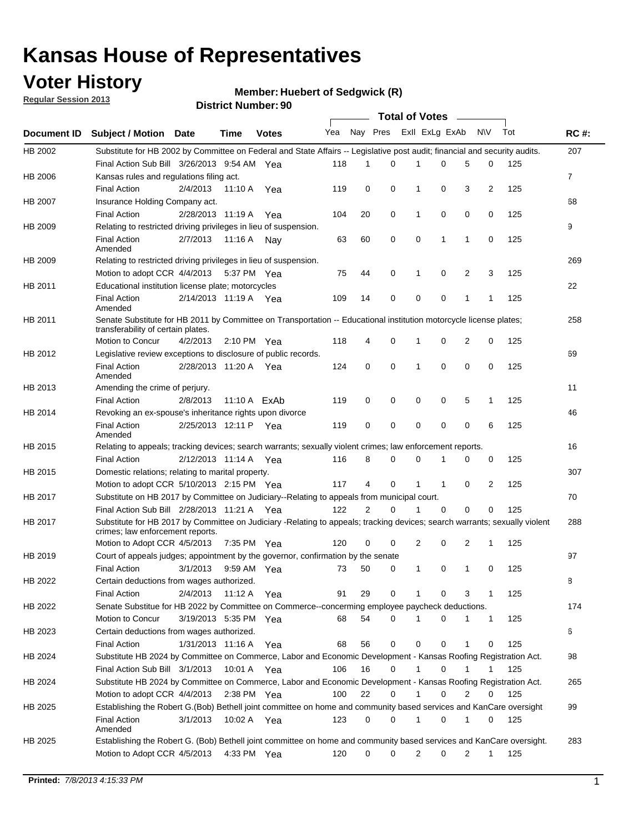### **Voter History**

**Member: Huebert of Sedgwick (R)** 

**Regular Session 2013**

|                    |                                                                                                                                                                |                       |             | <b>DISTRICT MUTHDEL: 30</b> |     |             |             | Total of Votes – |             |   |              |     |                |
|--------------------|----------------------------------------------------------------------------------------------------------------------------------------------------------------|-----------------------|-------------|-----------------------------|-----|-------------|-------------|------------------|-------------|---|--------------|-----|----------------|
| <b>Document ID</b> | <b>Subject / Motion</b>                                                                                                                                        | Date                  | Time        | <b>Votes</b>                | Yea | Nay Pres    |             | Exll ExLg ExAb   |             |   | <b>NV</b>    | Tot | <b>RC#:</b>    |
| HB 2002            | Substitute for HB 2002 by Committee on Federal and State Affairs -- Legislative post audit; financial and security audits.                                     |                       |             |                             |     |             |             |                  |             |   |              |     | 207            |
|                    | Final Action Sub Bill 3/26/2013 9:54 AM Yea                                                                                                                    |                       |             |                             | 118 | 1           | 0           |                  | 0           | 5 | 0            | 125 |                |
| HB 2006            | Kansas rules and regulations filing act.                                                                                                                       |                       |             |                             |     |             |             |                  |             |   |              |     | $\overline{7}$ |
|                    | <b>Final Action</b>                                                                                                                                            | 2/4/2013              | 11:10 A     | Yea                         | 119 | 0           | 0           | 1                | 0           | 3 | 2            | 125 |                |
| HB 2007            | Insurance Holding Company act.                                                                                                                                 |                       |             |                             |     |             |             |                  |             |   |              |     | 68             |
|                    | <b>Final Action</b>                                                                                                                                            | 2/28/2013 11:19 A     |             | Yea                         | 104 | 20          | 0           | 1                | 0           | 0 | 0            | 125 |                |
| HB 2009            | Relating to restricted driving privileges in lieu of suspension.                                                                                               |                       |             |                             |     |             |             |                  |             |   |              |     | 9              |
|                    | <b>Final Action</b><br>Amended                                                                                                                                 | 2/7/2013              | 11:16 A     | Nav                         | 63  | 60          | 0           | 0                | 1           | 1 | 0            | 125 |                |
| HB 2009            | Relating to restricted driving privileges in lieu of suspension.                                                                                               |                       |             |                             |     |             |             |                  |             |   |              |     | 269            |
|                    | Motion to adopt CCR 4/4/2013                                                                                                                                   |                       | 5:37 PM Yea |                             | 75  | 44          | 0           | 1                | 0           | 2 | 3            | 125 |                |
| HB 2011            | Educational institution license plate; motorcycles                                                                                                             |                       |             |                             |     |             |             |                  |             |   |              |     | 22             |
|                    | <b>Final Action</b><br>Amended                                                                                                                                 | 2/14/2013 11:19 A Yea |             |                             | 109 | 14          | 0           | 0                | 0           | 1 | 1            | 125 |                |
| HB 2011            | Senate Substitute for HB 2011 by Committee on Transportation -- Educational institution motorcycle license plates;                                             |                       |             |                             |     |             |             |                  |             |   |              |     | 258            |
|                    | transferability of certain plates.                                                                                                                             |                       |             |                             |     |             |             |                  |             |   |              |     |                |
|                    | Motion to Concur                                                                                                                                               | 4/2/2013              | 2:10 PM Yea |                             | 118 | 4           | 0           | 1                | 0           | 2 | 0            | 125 |                |
| HB 2012            | Legislative review exceptions to disclosure of public records.                                                                                                 |                       |             |                             |     |             |             |                  |             |   |              |     | 69             |
|                    | <b>Final Action</b><br>Amended                                                                                                                                 | 2/28/2013 11:20 A Yea |             |                             | 124 | 0           | 0           | 1                | $\mathbf 0$ | 0 | 0            | 125 |                |
| HB 2013            | Amending the crime of perjury.                                                                                                                                 |                       |             |                             |     |             |             |                  |             |   |              |     | 11             |
|                    | <b>Final Action</b>                                                                                                                                            | 2/8/2013              |             | 11:10 A ExAb                | 119 | 0           | 0           | 0                | 0           | 5 | $\mathbf 1$  | 125 |                |
| HB 2014            | Revoking an ex-spouse's inheritance rights upon divorce                                                                                                        |                       |             |                             |     |             |             |                  |             |   |              |     | 46             |
|                    | <b>Final Action</b><br>Amended                                                                                                                                 | 2/25/2013 12:11 P Yea |             |                             | 119 | $\mathbf 0$ | $\mathbf 0$ | 0                | 0           | 0 | 6            | 125 |                |
| HB 2015            | Relating to appeals; tracking devices; search warrants; sexually violent crimes; law enforcement reports.                                                      |                       |             |                             |     |             |             |                  |             |   |              |     | 16             |
|                    | <b>Final Action</b>                                                                                                                                            | 2/12/2013 11:14 A     |             | Yea                         | 116 | 8           | 0           | 0                | 1           | 0 | 0            | 125 |                |
| HB 2015            | Domestic relations; relating to marital property.                                                                                                              |                       |             |                             |     |             |             |                  |             |   |              |     | 307            |
|                    | Motion to adopt CCR 5/10/2013 2:15 PM Yea                                                                                                                      |                       |             |                             | 117 | 4           | 0           | $\mathbf 1$      | $\mathbf 1$ | 0 | 2            | 125 |                |
| HB 2017            | Substitute on HB 2017 by Committee on Judiciary--Relating to appeals from municipal court.                                                                     |                       |             |                             |     |             |             |                  |             |   |              |     | 70             |
|                    | Final Action Sub Bill 2/28/2013 11:21 A Yea                                                                                                                    |                       |             |                             | 122 | 2           | 0           | 1                | 0           | 0 | 0            | 125 |                |
| HB 2017            | Substitute for HB 2017 by Committee on Judiciary -Relating to appeals; tracking devices; search warrants; sexually violent<br>crimes; law enforcement reports. |                       |             |                             |     |             |             |                  |             |   |              |     | 288            |
|                    | Motion to Adopt CCR 4/5/2013                                                                                                                                   |                       | 7:35 PM Yea |                             | 120 | 0           | 0           | 2                | 0           | 2 | 1            | 125 |                |
| HB 2019            | Court of appeals judges; appointment by the governor, confirmation by the senate                                                                               |                       |             |                             |     |             |             |                  |             |   |              |     | 97             |
|                    | <b>Final Action</b>                                                                                                                                            | 3/1/2013              | 9:59 AM Yea |                             | 73  | 50          | 0           | 1                | 0           | 1 | 0            | 125 |                |
| HB 2022            | Certain deductions from wages authorized.                                                                                                                      |                       |             |                             |     |             |             |                  |             |   |              |     | В              |
|                    | <b>Final Action</b>                                                                                                                                            | 2/4/2013              | 11:12 A     | Yea                         | 91  | 29          | 0           | 1                | 0           | 3 | 1            | 125 |                |
| HB 2022            | Senate Substitue for HB 2022 by Committee on Commerce--concerming employee paycheck deductions.                                                                |                       |             |                             |     |             |             |                  |             |   |              |     | 174            |
|                    | Motion to Concur                                                                                                                                               | 3/19/2013 5:35 PM Yea |             |                             | 68  | 54          | 0           | 1                | 0           | 1 | $\mathbf{1}$ | 125 |                |
| HB 2023            | Certain deductions from wages authorized.                                                                                                                      |                       |             |                             |     |             |             |                  |             |   |              |     | 6              |
|                    | <b>Final Action</b>                                                                                                                                            | 1/31/2013 11:16 A     |             | Yea                         | 68  | 56          | 0           | 0                | 0           | 1 | 0            | 125 |                |
| HB 2024            | Substitute HB 2024 by Committee on Commerce, Labor and Economic Development - Kansas Roofing Registration Act.                                                 |                       |             |                             |     |             |             |                  |             |   |              |     | 98             |
|                    | Final Action Sub Bill 3/1/2013                                                                                                                                 |                       | 10:01 A     | Yea                         | 106 | 16          | 0           | 1                | 0           | 1 | 1            | 125 |                |
| HB 2024            | Substitute HB 2024 by Committee on Commerce, Labor and Economic Development - Kansas Roofing Registration Act.                                                 |                       |             |                             |     |             |             |                  |             |   |              |     | 265            |
|                    | Motion to adopt CCR 4/4/2013                                                                                                                                   |                       |             | $2:38$ PM Yea               | 100 | 22          | 0           | 1                | 0           | 2 | 0            | 125 |                |
| HB 2025            | Establishing the Robert G.(Bob) Bethell joint committee on home and community based services and KanCare oversight                                             |                       |             |                             |     |             |             |                  |             |   |              |     | 99             |
|                    | <b>Final Action</b><br>Amended                                                                                                                                 | 3/1/2013              |             | 10:02 A Yea                 | 123 | 0           | 0           | 1                | 0           | 1 | 0            | 125 |                |
| HB 2025            | Establishing the Robert G. (Bob) Bethell joint committee on home and community based services and KanCare oversight.<br>Motion to Adopt CCR 4/5/2013           |                       |             | 4:33 PM Yea                 | 120 | 0           | 0           | 2                | 0           | 2 | $\mathbf{1}$ | 125 | 283            |
|                    |                                                                                                                                                                |                       |             |                             |     |             |             |                  |             |   |              |     |                |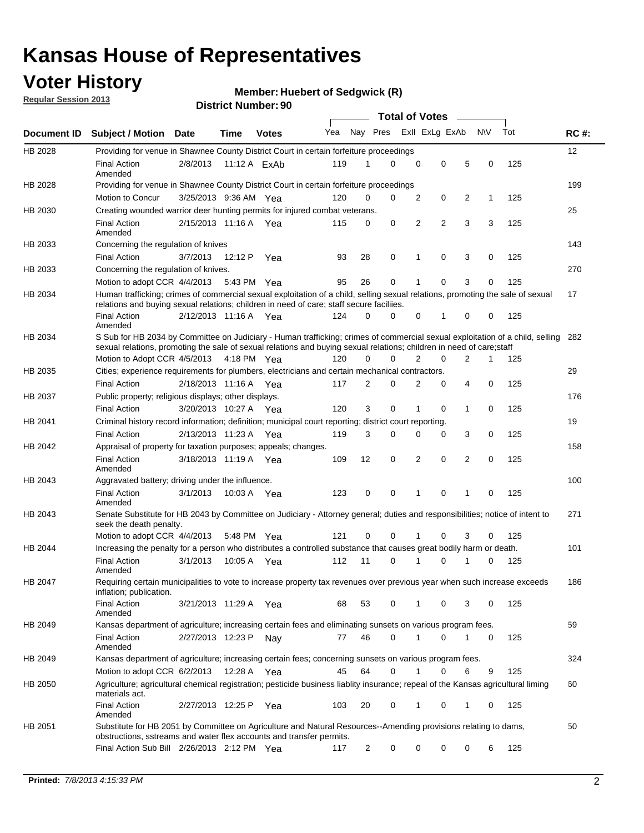### **Voter History**

**Member: Huebert of Sedgwick (R)** 

**Regular Session 2013**

|             |                                                                                                                                                                                                                                                       |                       |             |                |     |                | <b>Total of Votes</b> |             |                |                |           |     |             |
|-------------|-------------------------------------------------------------------------------------------------------------------------------------------------------------------------------------------------------------------------------------------------------|-----------------------|-------------|----------------|-----|----------------|-----------------------|-------------|----------------|----------------|-----------|-----|-------------|
| Document ID | <b>Subject / Motion Date</b>                                                                                                                                                                                                                          |                       | Time        | <b>Votes</b>   | Yea | Nay Pres       |                       |             | Exll ExLg ExAb |                | <b>NV</b> | Tot | <b>RC#:</b> |
| HB 2028     | Providing for venue in Shawnee County District Court in certain forfeiture proceedings                                                                                                                                                                |                       |             |                |     |                |                       |             |                |                |           |     | 12          |
|             | <b>Final Action</b><br>Amended                                                                                                                                                                                                                        | 2/8/2013              |             | 11:12 A $ExAb$ | 119 | 1              | $\Omega$              | $\mathbf 0$ | 0              | 5              | 0         | 125 |             |
| HB 2028     | Providing for venue in Shawnee County District Court in certain forfeiture proceedings                                                                                                                                                                |                       |             |                |     | 0              | 0                     |             |                |                |           |     | 199         |
|             | Motion to Concur                                                                                                                                                                                                                                      | 3/25/2013 9:36 AM Yea |             |                | 120 |                |                       | 2           | 0              | 2              | 1         | 125 |             |
| HB 2030     | Creating wounded warrior deer hunting permits for injured combat veterans.<br><b>Final Action</b>                                                                                                                                                     | 2/15/2013 11:16 A     |             | Yea            | 115 | 0              | 0                     | 2           | $\overline{2}$ | 3              | 3         | 125 | 25          |
| HB 2033     | Amended<br>Concerning the regulation of knives                                                                                                                                                                                                        |                       |             |                |     |                |                       |             |                |                |           |     | 143         |
|             | <b>Final Action</b>                                                                                                                                                                                                                                   | 3/7/2013              | 12:12 P     | Yea            | 93  | 28             | 0                     | 1           | 0              | 3              | 0         | 125 |             |
| HB 2033     | Concerning the regulation of knives.                                                                                                                                                                                                                  |                       |             |                |     |                |                       |             |                |                |           |     | 270         |
|             | Motion to adopt CCR 4/4/2013                                                                                                                                                                                                                          |                       |             | 5:43 PM Yea    | 95  | 26             | 0                     |             | 0              | 3              | 0         | 125 |             |
| HB 2034     | Human trafficking; crimes of commercial sexual exploitation of a child, selling sexual relations, promoting the sale of sexual<br>relations and buying sexual relations; children in need of care; staff secure faciliies.                            |                       |             |                |     |                |                       |             |                |                |           |     | 17          |
|             | <b>Final Action</b><br>Amended                                                                                                                                                                                                                        | 2/12/2013 11:16 A Yea |             |                | 124 | $\Omega$       | $\Omega$              | 0           | 1              | 0              | 0         | 125 |             |
| HB 2034     | S Sub for HB 2034 by Committee on Judiciary - Human trafficking; crimes of commercial sexual exploitation of a child, selling<br>sexual relations, promoting the sale of sexual relations and buying sexual relations; children in need of care;staff |                       |             |                |     |                |                       |             |                |                |           |     | 282         |
|             | Motion to Adopt CCR 4/5/2013 4:18 PM Yea                                                                                                                                                                                                              |                       |             |                | 120 | 0              | 0                     | 2           | 0              | $\overline{2}$ | 1         | 125 |             |
| HB 2035     | Cities; experience requirements for plumbers, electricians and certain mechanical contractors.                                                                                                                                                        |                       |             |                |     |                |                       |             |                |                |           |     | 29          |
|             | <b>Final Action</b>                                                                                                                                                                                                                                   | 2/18/2013 11:16 A     |             | Yea            | 117 | 2              | 0                     | 2           | 0              | 4              | 0         | 125 |             |
| HB 2037     | Public property; religious displays; other displays.                                                                                                                                                                                                  |                       |             |                |     |                |                       |             |                |                |           |     | 176         |
|             | <b>Final Action</b>                                                                                                                                                                                                                                   | 3/20/2013 10:27 A     |             | Yea            | 120 | 3              | 0                     | 1           | 0              | 1              | 0         | 125 |             |
| HB 2041     | Criminal history record information; definition; municipal court reporting; district court reporting.                                                                                                                                                 |                       |             |                |     |                |                       |             |                |                |           |     | 19          |
|             | <b>Final Action</b>                                                                                                                                                                                                                                   | 2/13/2013 11:23 A     |             | Yea            | 119 | 3              | 0                     | 0           | 0              | 3              | 0         | 125 |             |
| HB 2042     | Appraisal of property for taxation purposes; appeals; changes.                                                                                                                                                                                        |                       |             |                |     |                |                       |             |                |                |           |     | 158         |
|             | <b>Final Action</b><br>Amended                                                                                                                                                                                                                        | 3/18/2013 11:19 A     |             | Yea            | 109 | 12             | 0                     | 2           | 0              | 2              | 0         | 125 |             |
| HB 2043     | Aggravated battery; driving under the influence.                                                                                                                                                                                                      |                       |             |                |     |                |                       |             |                |                |           |     | 100         |
|             | <b>Final Action</b><br>Amended                                                                                                                                                                                                                        | 3/1/2013              |             | 10:03 A Yea    | 123 | 0              | 0                     |             | 0              | 1              | 0         | 125 |             |
| HB 2043     | Senate Substitute for HB 2043 by Committee on Judiciary - Attorney general; duties and responsibilities; notice of intent to<br>seek the death penalty.                                                                                               |                       |             |                |     |                |                       |             |                |                |           |     | 271         |
|             | Motion to adopt CCR 4/4/2013                                                                                                                                                                                                                          |                       | 5:48 PM Yea |                | 121 | 0              | 0                     |             | 0              | 3              | 0         | 125 |             |
| HB 2044     | Increasing the penalty for a person who distributes a controlled substance that causes great bodily harm or death.                                                                                                                                    |                       |             |                |     |                |                       |             |                |                |           |     | 101         |
|             | <b>Final Action</b><br>Amended                                                                                                                                                                                                                        | 3/1/2013              | 10:05 A     | Yea            | 112 | 11             | 0                     |             | 0              |                | 0         | 125 |             |
| HB 2047     | Requiring certain municipalities to vote to increase property tax revenues over previous year when such increase exceeds<br>inflation; publication.                                                                                                   |                       |             |                |     |                |                       |             |                |                |           |     | 186         |
|             | <b>Final Action</b><br>Amended                                                                                                                                                                                                                        | 3/21/2013 11:29 A Yea |             |                | 68  | 53             | 0                     |             | 0              | 3              | 0         | 125 |             |
| HB 2049     | Kansas department of agriculture; increasing certain fees and eliminating sunsets on various program fees.                                                                                                                                            |                       |             |                |     |                |                       |             |                |                |           |     | 59          |
|             | <b>Final Action</b><br>Amended                                                                                                                                                                                                                        | 2/27/2013 12:23 P     |             | Nav            | 77  | 46             | 0                     | 1           | 0              | 1              | 0         | 125 |             |
| HB 2049     | Kansas department of agriculture; increasing certain fees; concerning sunsets on various program fees.                                                                                                                                                |                       |             |                |     |                |                       |             |                |                |           |     | 324         |
|             | Motion to adopt CCR 6/2/2013                                                                                                                                                                                                                          |                       | 12:28 A     | Yea            | 45  | 64             | 0                     |             | 0              | 6              | 9         | 125 |             |
| HB 2050     | Agriculture; agricultural chemical registration; pesticide business liablity insurance; repeal of the Kansas agricultural liming<br>materials act.                                                                                                    |                       |             |                |     |                |                       |             |                |                |           |     | 60          |
|             | <b>Final Action</b><br>Amended                                                                                                                                                                                                                        | 2/27/2013 12:25 P     |             | Yea            | 103 | 20             | 0                     | 1           | 0              | 1              | 0         | 125 |             |
| HB 2051     | Substitute for HB 2051 by Committee on Agriculture and Natural Resources--Amending provisions relating to dams,<br>obstructions, sstreams and water flex accounts and transfer permits.                                                               |                       |             |                |     |                |                       |             |                |                |           |     | 50          |
|             | Final Action Sub Bill 2/26/2013 2:12 PM Yea                                                                                                                                                                                                           |                       |             |                | 117 | $\overline{c}$ | 0                     | 0           | 0              | 0              | 6         | 125 |             |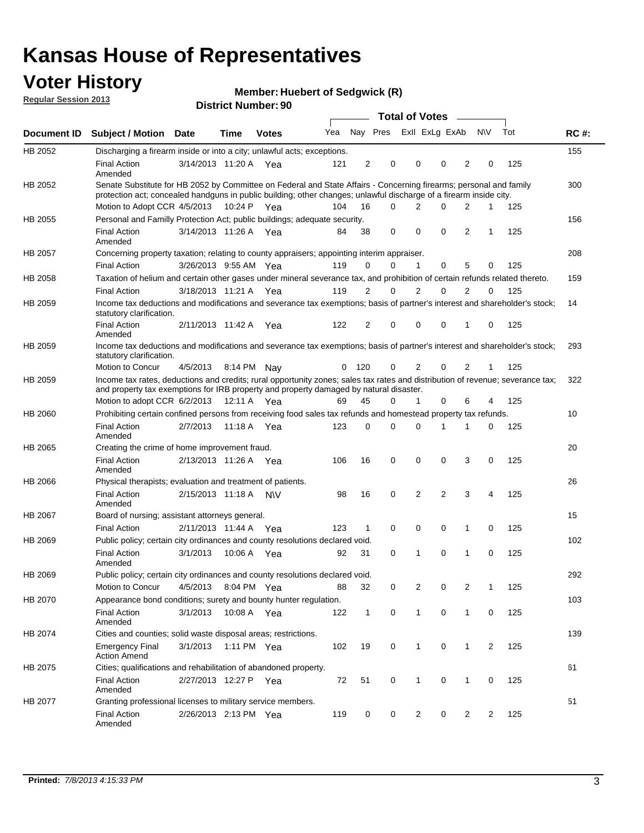### **Voter History**

**Member: Huebert of Sedgwick (R)** 

**Regular Session 2013**

|             |                                                                                                                                                                                                                                          |                       |         | <b>DISTRICT MAILINGL. 30</b> |     |              |             | Total of Votes – |                |                |                |     |             |
|-------------|------------------------------------------------------------------------------------------------------------------------------------------------------------------------------------------------------------------------------------------|-----------------------|---------|------------------------------|-----|--------------|-------------|------------------|----------------|----------------|----------------|-----|-------------|
| Document ID | <b>Subject / Motion</b>                                                                                                                                                                                                                  | <b>Date</b>           | Time    | <b>Votes</b>                 | Yea |              | Nay Pres    | Exll ExLg ExAb   |                |                | <b>NV</b>      | Tot | <b>RC#:</b> |
| HB 2052     | Discharging a firearm inside or into a city; unlawful acts; exceptions.                                                                                                                                                                  |                       |         |                              |     |              |             |                  |                |                |                |     | 155         |
|             | <b>Final Action</b><br>Amended                                                                                                                                                                                                           | 3/14/2013 11:20 A Yea |         |                              | 121 | 2            | 0           | 0                | 0              | 2              | 0              | 125 |             |
| HB 2052     | Senate Substitute for HB 2052 by Committee on Federal and State Affairs - Concerning firearms; personal and family<br>protection act; concealed handguns in public building; other changes; unlawful discharge of a firearm inside city. |                       |         |                              |     |              |             |                  |                |                |                |     | 300         |
|             | Motion to Adopt CCR 4/5/2013 10:24 P Yea                                                                                                                                                                                                 |                       |         |                              | 104 | 16           | $\Omega$    | 2                | 0              | 2              | 1              | 125 |             |
| HB 2055     | Personal and Familly Protection Act; public buildings; adequate security.                                                                                                                                                                |                       |         |                              |     |              |             |                  |                |                |                |     | 156         |
|             | <b>Final Action</b><br>Amended                                                                                                                                                                                                           | 3/14/2013 11:26 A     |         | Yea                          | 84  | 38           | 0           | $\mathbf 0$      | 0              | $\overline{2}$ | 1              | 125 |             |
| HB 2057     | Concerning property taxation; relating to county appraisers; appointing interim appraiser.                                                                                                                                               |                       |         |                              |     |              |             |                  |                |                |                |     | 208         |
|             | <b>Final Action</b>                                                                                                                                                                                                                      | 3/26/2013 9:55 AM Yea |         |                              | 119 | 0            | 0           | 1                | 0              | 5              | 0              | 125 |             |
| HB 2058     | Taxation of helium and certain other gases under mineral severance tax, and prohibition of certain refunds related thereto.                                                                                                              |                       |         |                              |     |              |             |                  |                |                |                |     | 159         |
|             | <b>Final Action</b>                                                                                                                                                                                                                      | 3/18/2013 11:21 A Yea |         |                              | 119 | 2            | 0           | 2                | 0              | 2              | 0              | 125 |             |
| HB 2059     | Income tax deductions and modifications and severance tax exemptions; basis of partner's interest and shareholder's stock;<br>statutory clarification.                                                                                   |                       |         |                              |     |              |             |                  |                |                |                |     | 14          |
|             | <b>Final Action</b><br>Amended                                                                                                                                                                                                           | 2/11/2013 11:42 A     |         | Yea                          | 122 | 2            | 0           | $\Omega$         | 0              | 1              | 0              | 125 |             |
| HB 2059     | Income tax deductions and modifications and severance tax exemptions; basis of partner's interest and shareholder's stock;<br>statutory clarification.                                                                                   |                       |         |                              |     |              |             |                  |                |                |                |     | 293         |
|             | Motion to Concur                                                                                                                                                                                                                         | 4/5/2013              |         | 8:14 PM Nav                  | 0   | 120          | 0           | 2                | $\Omega$       | 2              | 1              | 125 |             |
| HB 2059     | Income tax rates, deductions and credits; rural opportunity zones; sales tax rates and distribution of revenue; severance tax;<br>and property tax exemptions for IRB property and property damaged by natural disaster.                 |                       |         |                              |     |              |             |                  |                |                |                |     | 322         |
|             | Motion to adopt CCR 6/2/2013                                                                                                                                                                                                             |                       |         | 12:11 A Yea                  | 69  | 45           | 0           | $\mathbf{1}$     | 0              | 6              | 4              | 125 |             |
| HB 2060     | Prohibiting certain confined persons from receiving food sales tax refunds and homestead property tax refunds.                                                                                                                           |                       |         |                              |     |              |             |                  |                |                |                |     | 10          |
|             | <b>Final Action</b><br>Amended                                                                                                                                                                                                           | 2/7/2013              |         | 11:18 A Yea                  | 123 | 0            | $\Omega$    | $\Omega$         | 1              | 1              | 0              | 125 |             |
| HB 2065     | Creating the crime of home improvement fraud.                                                                                                                                                                                            |                       |         |                              |     |              |             |                  |                |                |                |     | 20          |
|             | <b>Final Action</b><br>Amended                                                                                                                                                                                                           | 2/13/2013 11:26 A Yea |         |                              | 106 | 16           | $\mathbf 0$ | $\mathbf 0$      | 0              | 3              | 0              | 125 |             |
| HB 2066     | Physical therapists; evaluation and treatment of patients.                                                                                                                                                                               |                       |         |                              |     |              |             |                  |                |                |                |     | 26          |
|             | <b>Final Action</b><br>Amended                                                                                                                                                                                                           | 2/15/2013 11:18 A     |         | <b>NV</b>                    | 98  | 16           | 0           | 2                | $\overline{2}$ | 3              | 4              | 125 |             |
| HB 2067     | Board of nursing; assistant attorneys general.                                                                                                                                                                                           |                       |         |                              |     |              |             |                  |                |                |                |     | 15          |
|             | <b>Final Action</b>                                                                                                                                                                                                                      | 2/11/2013 11:44 A Yea |         |                              | 123 | 1            | $\mathbf 0$ | 0                | 0              | 1              | 0              | 125 |             |
| HB 2069     | Public policy; certain city ordinances and county resolutions declared void.                                                                                                                                                             |                       |         |                              |     |              |             |                  |                |                |                |     | 102         |
|             | <b>Final Action</b><br>Amended                                                                                                                                                                                                           | 3/1/2013              | 10:06 A | Yea                          | 92  | 31           | $\Omega$    | 1                | $\Omega$       | 1              | $\Omega$       | 125 |             |
| HB 2069     | Public policy; certain city ordinances and county resolutions declared void.                                                                                                                                                             |                       |         |                              |     |              |             |                  |                |                |                |     | 292         |
|             | Motion to Concur                                                                                                                                                                                                                         | 4/5/2013              |         | 8:04 PM Yea                  | 88  | 32           | 0           | $\overline{2}$   | 0              | $\overline{2}$ | 1              | 125 |             |
| HB 2070     | Appearance bond conditions; surety and bounty hunter regulation.                                                                                                                                                                         |                       |         |                              |     |              |             |                  |                |                |                |     | 103         |
|             | <b>Final Action</b><br>Amended                                                                                                                                                                                                           | 3/1/2013              |         | 10:08 A Yea                  | 122 | $\mathbf{1}$ | $\mathbf 0$ | $\mathbf{1}$     | 0              | $\mathbf{1}$   | 0              | 125 |             |
| HB 2074     | Cities and counties; solid waste disposal areas; restrictions.                                                                                                                                                                           |                       |         |                              |     |              |             |                  |                |                |                |     | 139         |
|             | <b>Emergency Final</b><br><b>Action Amend</b>                                                                                                                                                                                            | 3/1/2013              |         | 1:11 PM Yea                  | 102 | 19           | 0           | 1                | 0              | 1              | $\overline{2}$ | 125 |             |
| HB 2075     | Cities; qualifications and rehabilitation of abandoned property.                                                                                                                                                                         |                       |         |                              |     |              |             |                  |                |                |                |     | 61          |
|             | <b>Final Action</b><br>Amended                                                                                                                                                                                                           | 2/27/2013 12:27 P     |         | Yea                          | 72  | 51           | 0           | 1                | 0              | 1              | 0              | 125 |             |
| HB 2077     | Granting professional licenses to military service members.<br><b>Final Action</b><br>Amended                                                                                                                                            | 2/26/2013 2:13 PM Yea |         |                              | 119 | 0            | 0           | 2                | 0              | 2              | 2              | 125 | 51          |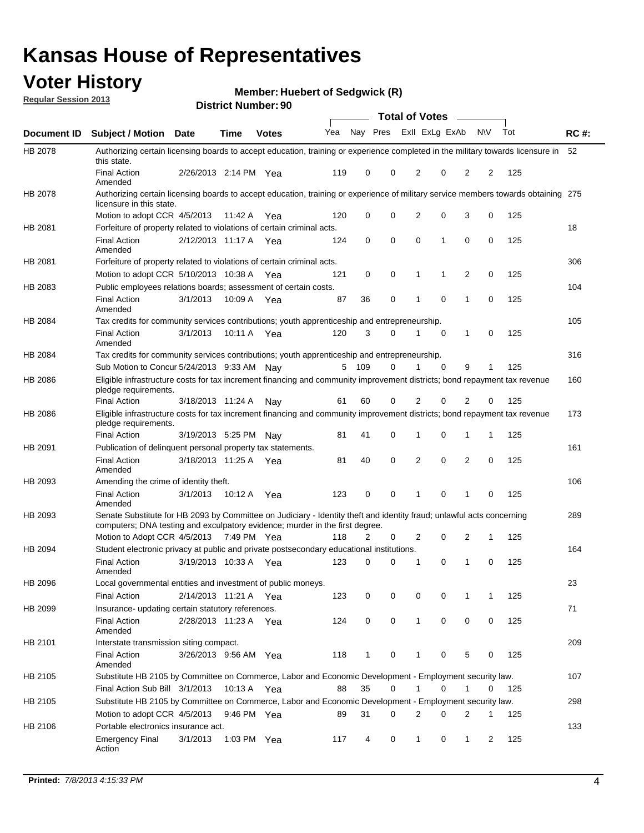### **Voter History**

**Member: Huebert of Sedgwick (R)** 

**Regular Session 2013**

|             |                                                                                                                                                                                                       |                       |               | <b>DISTRICT NUMBER</b> : 90 |     |              |          | Total of Votes – |             |                |           |     |             |
|-------------|-------------------------------------------------------------------------------------------------------------------------------------------------------------------------------------------------------|-----------------------|---------------|-----------------------------|-----|--------------|----------|------------------|-------------|----------------|-----------|-----|-------------|
| Document ID | <b>Subject / Motion</b>                                                                                                                                                                               | <b>Date</b>           | Time          | <b>Votes</b>                | Yea | Nay Pres     |          | Exll ExLg ExAb   |             |                | <b>NV</b> | Tot | <b>RC#:</b> |
| HB 2078     | Authorizing certain licensing boards to accept education, training or experience completed in the military towards licensure in<br>this state.                                                        |                       |               |                             |     |              |          |                  |             |                |           |     | 52          |
|             | <b>Final Action</b><br>Amended                                                                                                                                                                        | 2/26/2013 2:14 PM     |               | Yea                         | 119 | 0            | 0        | 2                | 0           | 2              | 2         | 125 |             |
| HB 2078     | Authorizing certain licensing boards to accept education, training or experience of military service members towards obtaining 275<br>licensure in this state.                                        |                       |               |                             |     |              |          |                  |             |                |           |     |             |
|             | Motion to adopt CCR 4/5/2013                                                                                                                                                                          |                       | 11:42 A       | Yea                         | 120 | 0            | $\Omega$ | 2                | 0           | 3              | 0         | 125 |             |
| HB 2081     | Forfeiture of property related to violations of certain criminal acts.                                                                                                                                |                       |               |                             |     |              |          |                  |             |                |           |     | 18          |
|             | <b>Final Action</b><br>Amended                                                                                                                                                                        | 2/12/2013 11:17 A Yea |               |                             | 124 | 0            | $\Omega$ | 0                | 1           | $\Omega$       | 0         | 125 |             |
| HB 2081     | Forfeiture of property related to violations of certain criminal acts.                                                                                                                                |                       |               |                             |     |              |          |                  |             |                |           |     | 306         |
|             | Motion to adopt CCR 5/10/2013 10:38 A                                                                                                                                                                 |                       |               | Yea                         | 121 | 0            | 0        | 1                | 1           | 2              | 0         | 125 |             |
| HB 2083     | Public employees relations boards; assessment of certain costs.                                                                                                                                       |                       |               |                             |     |              |          |                  |             |                |           |     | 104         |
|             | <b>Final Action</b><br>Amended                                                                                                                                                                        | 3/1/2013              | 10:09 A       | Yea                         | 87  | 36           | 0        | 1                | 0           | 1              | 0         | 125 |             |
| HB 2084     | Tax credits for community services contributions; youth apprenticeship and entrepreneurship.                                                                                                          |                       |               |                             |     |              |          |                  |             |                |           |     | 105         |
|             | <b>Final Action</b><br>Amended                                                                                                                                                                        | 3/1/2013              | 10:11 A       | Yea                         | 120 | 3            | $\Omega$ | 1                | $\mathbf 0$ | 1              | 0         | 125 |             |
| HB 2084     | Tax credits for community services contributions; youth apprenticeship and entrepreneurship.                                                                                                          |                       |               |                             |     |              |          |                  |             |                |           |     | 316         |
|             | Sub Motion to Concur 5/24/2013 9:33 AM Nay                                                                                                                                                            |                       |               |                             | 5   | 109          | $\Omega$ | 1                | $\Omega$    | 9              | 1         | 125 |             |
| HB 2086     | Eligible infrastructure costs for tax increment financing and community improvement districts; bond repayment tax revenue<br>pledge requirements.                                                     |                       |               |                             |     |              |          |                  |             |                |           |     | 160         |
|             | <b>Final Action</b>                                                                                                                                                                                   | 3/18/2013 11:24 A     |               | Nav                         | 61  | 60           | 0        | 2                | 0           | $\overline{2}$ | 0         | 125 |             |
| HB 2086     | Eligible infrastructure costs for tax increment financing and community improvement districts; bond repayment tax revenue<br>pledge requirements.                                                     |                       |               |                             |     |              |          |                  |             |                |           |     | 173         |
|             | <b>Final Action</b>                                                                                                                                                                                   | 3/19/2013 5:25 PM     |               | Nav                         | 81  | 41           | 0        | 1                | 0           | 1              | 1         | 125 |             |
| HB 2091     | Publication of delinguent personal property tax statements.                                                                                                                                           |                       |               |                             |     |              |          |                  |             |                |           |     | 161         |
|             | <b>Final Action</b><br>Amended                                                                                                                                                                        | 3/18/2013 11:25 A     |               | Yea                         | 81  | 40           | 0        | 2                | 0           | 2              | 0         | 125 |             |
| HB 2093     | Amending the crime of identity theft.                                                                                                                                                                 |                       |               |                             |     |              |          |                  |             |                |           |     | 106         |
|             | <b>Final Action</b><br>Amended                                                                                                                                                                        | 3/1/2013              | 10:12 A       | Yea                         | 123 | 0            | $\Omega$ | 1                | 0           | 1              | 0         | 125 |             |
| HB 2093     | Senate Substitute for HB 2093 by Committee on Judiciary - Identity theft and identity fraud; unlawful acts concerning<br>computers; DNA testing and exculpatory evidence; murder in the first degree. |                       |               |                             |     |              |          |                  |             |                |           |     | 289         |
|             | Motion to Adopt CCR 4/5/2013 7:49 PM Yea                                                                                                                                                              |                       |               |                             | 118 | 2            | 0        | 2                | 0           | 2              | 1         | 125 |             |
| HB 2094     | Student electronic privacy at public and private postsecondary educational institutions.                                                                                                              |                       |               |                             |     |              |          |                  |             |                |           |     | 164         |
|             | <b>Final Action</b><br>Amended                                                                                                                                                                        | 3/19/2013 10:33 A     |               | Yea                         | 123 | 0            | $\Omega$ | 1                | 0           | 1              | 0         | 125 |             |
| HB 2096     | Local governmental entities and investment of public moneys.                                                                                                                                          |                       |               |                             |     |              |          |                  |             |                |           |     | 23          |
|             | <b>Final Action</b>                                                                                                                                                                                   | 2/14/2013 11:21 A Yea |               |                             | 123 | 0            | 0        | 0                | 0           | 1              | 1         | 125 |             |
| HB 2099     | Insurance- updating certain statutory references.                                                                                                                                                     |                       |               |                             |     |              |          |                  |             |                |           |     | 71          |
|             | Final Action<br>Amended                                                                                                                                                                               | 2/28/2013 11:23 A Yea |               |                             | 124 | 0            | 0        | $\mathbf{1}$     | $\mathbf 0$ | 0              | 0         | 125 |             |
| HB 2101     | Interstate transmission siting compact.                                                                                                                                                               |                       |               |                             |     |              |          |                  |             |                |           |     | 209         |
|             | <b>Final Action</b><br>Amended                                                                                                                                                                        | 3/26/2013 9:56 AM Yea |               |                             | 118 | $\mathbf{1}$ | 0        | $\mathbf{1}$     | 0           | 5              | 0         | 125 |             |
| HB 2105     | Substitute HB 2105 by Committee on Commerce, Labor and Economic Development - Employment security law.                                                                                                |                       |               |                             |     |              |          |                  |             |                |           |     | 107         |
|             | Final Action Sub Bill 3/1/2013                                                                                                                                                                        |                       | 10:13 A Yea   |                             | 88  | 35           | 0        |                  | 0           | 1              | 0         | 125 |             |
| HB 2105     | Substitute HB 2105 by Committee on Commerce, Labor and Economic Development - Employment security law.                                                                                                |                       |               |                             |     |              |          |                  |             |                |           |     | 298         |
|             | Motion to adopt CCR 4/5/2013                                                                                                                                                                          |                       | 9:46 PM Yea   |                             | 89  | 31           | 0        | 2                | 0           | 2              | 1         | 125 |             |
| HB 2106     | Portable electronics insurance act.                                                                                                                                                                   |                       |               |                             |     |              |          |                  |             |                |           |     | 133         |
|             | <b>Emergency Final</b><br>Action                                                                                                                                                                      | 3/1/2013              | 1:03 PM $Yea$ |                             | 117 | 4            | 0        | 1                | 0           | $\mathbf{1}$   | 2         | 125 |             |
|             |                                                                                                                                                                                                       |                       |               |                             |     |              |          |                  |             |                |           |     |             |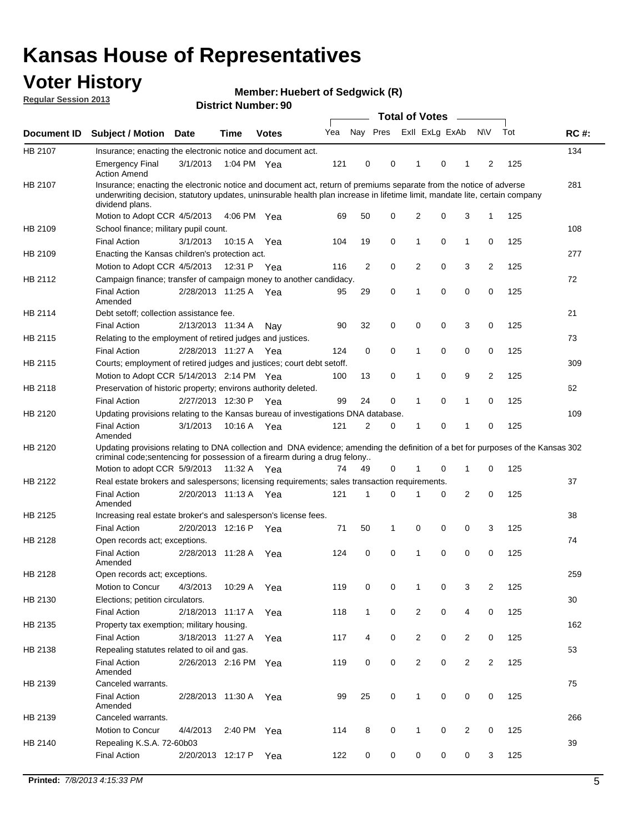### **Voter History**

**Member: Huebert of Sedgwick (R)** 

**Regular Session 2013**

|             |                                                                                                                                                                                                                                                                      |                       |             | טכּ ושטווווטרו ויטוווט |     |                |             | <b>Total of Votes</b> |   | $\sim$         |                |     |             |
|-------------|----------------------------------------------------------------------------------------------------------------------------------------------------------------------------------------------------------------------------------------------------------------------|-----------------------|-------------|------------------------|-----|----------------|-------------|-----------------------|---|----------------|----------------|-----|-------------|
| Document ID | <b>Subject / Motion Date</b>                                                                                                                                                                                                                                         |                       | <b>Time</b> | <b>Votes</b>           | Yea | Nay Pres       |             | Exll ExLg ExAb        |   |                | <b>NV</b>      | Tot | <b>RC#:</b> |
| HB 2107     | Insurance; enacting the electronic notice and document act.                                                                                                                                                                                                          |                       |             |                        |     |                |             |                       |   |                |                |     | 134         |
|             | <b>Emergency Final</b><br><b>Action Amend</b>                                                                                                                                                                                                                        | 3/1/2013              | 1:04 PM Yea |                        | 121 | 0              | 0           | 1                     | 0 | 1              | 2              | 125 |             |
| HB 2107     | Insurance; enacting the electronic notice and document act, return of premiums separate from the notice of adverse<br>underwriting decision, statutory updates, uninsurable health plan increase in lifetime limit, mandate lite, certain company<br>dividend plans. |                       |             |                        |     |                |             |                       |   |                |                |     | 281         |
|             | Motion to Adopt CCR 4/5/2013                                                                                                                                                                                                                                         |                       | 4:06 PM Yea |                        | 69  | 50             | 0           | 2                     | 0 | 3              | $\mathbf{1}$   | 125 |             |
| HB 2109     | School finance; military pupil count.                                                                                                                                                                                                                                |                       |             |                        |     |                |             |                       |   |                |                |     | 108         |
|             | <b>Final Action</b>                                                                                                                                                                                                                                                  | 3/1/2013              | 10:15A      | Yea                    | 104 | 19             | 0           | 1                     | 0 | $\mathbf{1}$   | 0              | 125 |             |
| HB 2109     | Enacting the Kansas children's protection act.                                                                                                                                                                                                                       |                       |             |                        |     |                |             |                       |   |                |                |     | 277         |
|             | Motion to Adopt CCR 4/5/2013                                                                                                                                                                                                                                         |                       | 12:31 P     | Yea                    | 116 | $\overline{2}$ | 0           | 2                     | 0 | 3              | $\overline{2}$ | 125 |             |
| HB 2112     | Campaign finance; transfer of campaign money to another candidacy.                                                                                                                                                                                                   |                       |             |                        |     |                |             |                       |   |                |                |     | 72          |
|             | <b>Final Action</b><br>Amended                                                                                                                                                                                                                                       | 2/28/2013 11:25 A Yea |             |                        | 95  | 29             | 0           | 1                     | 0 | 0              | 0              | 125 |             |
| HB 2114     | Debt setoff; collection assistance fee.                                                                                                                                                                                                                              |                       |             |                        |     |                |             |                       |   |                |                |     | 21          |
|             | <b>Final Action</b>                                                                                                                                                                                                                                                  | 2/13/2013 11:34 A     |             | Nav                    | 90  | 32             | 0           | 0                     | 0 | 3              | 0              | 125 |             |
| HB 2115     | Relating to the employment of retired judges and justices.                                                                                                                                                                                                           |                       |             |                        |     |                |             |                       |   |                |                |     | 73          |
|             | <b>Final Action</b>                                                                                                                                                                                                                                                  | 2/28/2013 11:27 A     |             | Yea                    | 124 | 0              | $\mathbf 0$ | 1                     | 0 | 0              | 0              | 125 |             |
| HB 2115     | Courts; employment of retired judges and justices; court debt setoff.                                                                                                                                                                                                |                       |             |                        |     |                |             |                       |   |                |                |     | 309         |
|             | Motion to Adopt CCR 5/14/2013 2:14 PM Yea                                                                                                                                                                                                                            |                       |             |                        | 100 | 13             | 0           | 1                     | 0 | 9              | $\overline{2}$ | 125 |             |
| HB 2118     | Preservation of historic property; environs authority deleted.                                                                                                                                                                                                       |                       |             |                        |     |                |             |                       |   |                |                |     | 62          |
|             | <b>Final Action</b>                                                                                                                                                                                                                                                  | 2/27/2013 12:30 P     |             | Yea                    | 99  | 24             | 0           | 1                     | 0 | $\mathbf{1}$   | 0              | 125 |             |
| HB 2120     | Updating provisions relating to the Kansas bureau of investigations DNA database.                                                                                                                                                                                    |                       |             |                        |     |                |             |                       |   |                |                |     | 109         |
|             | <b>Final Action</b><br>Amended                                                                                                                                                                                                                                       | 3/1/2013              | 10:16 A     | Yea                    | 121 | 2              | 0           | 1                     | 0 | 1              | 0              | 125 |             |
| HB 2120     | Updating provisions relating to DNA collection and DNA evidence; amending the definition of a bet for purposes of the Kansas 302<br>criminal code; sentencing for possession of a firearm during a drug felony                                                       |                       |             |                        |     |                |             |                       |   |                |                |     |             |
|             | Motion to adopt CCR 5/9/2013                                                                                                                                                                                                                                         |                       | 11:32 A Yea |                        | 74  | 49             | 0           |                       | 0 | 1              | 0              | 125 |             |
| HB 2122     | Real estate brokers and salespersons; licensing requirements; sales transaction requirements.                                                                                                                                                                        |                       |             |                        |     |                |             |                       |   |                |                |     | 37          |
|             | <b>Final Action</b><br>Amended                                                                                                                                                                                                                                       | 2/20/2013 11:13 A Yea |             |                        | 121 | 1              | 0           |                       | 0 | 2              | 0              | 125 |             |
| HB 2125     | Increasing real estate broker's and salesperson's license fees.                                                                                                                                                                                                      |                       |             |                        |     |                |             |                       |   |                |                |     | 38          |
|             | <b>Final Action</b>                                                                                                                                                                                                                                                  | 2/20/2013 12:16 P     |             | Yea                    | 71  | 50             | 1           | 0                     | 0 | 0              | 3              | 125 |             |
| HB 2128     | Open records act; exceptions.                                                                                                                                                                                                                                        |                       |             |                        |     |                |             |                       |   |                |                |     | 74          |
|             | <b>Final Action</b><br>Amended                                                                                                                                                                                                                                       | 2/28/2013 11:28 A     |             | Yea                    | 124 | 0              | 0           | 1                     | 0 | 0              | 0              | 125 |             |
| HB 2128     | Open records act; exceptions.                                                                                                                                                                                                                                        |                       |             |                        |     |                |             |                       |   |                |                |     | 259         |
|             | Motion to Concur                                                                                                                                                                                                                                                     | 4/3/2013              | 10:29 A     | Yea                    | 119 | 0              | 0           | 1                     | 0 | 3              | $\overline{2}$ | 125 |             |
| HB 2130     | Elections; petition circulators.                                                                                                                                                                                                                                     |                       |             |                        |     |                |             |                       |   |                |                |     | 30          |
|             | <b>Final Action</b>                                                                                                                                                                                                                                                  | 2/18/2013 11:17 A     |             | Yea                    | 118 | $\mathbf{1}$   | 0           | $\overline{c}$        | 0 | 4              | 0              | 125 |             |
| HB 2135     | Property tax exemption; military housing.                                                                                                                                                                                                                            |                       |             |                        |     |                |             |                       |   |                |                |     | 162         |
|             | <b>Final Action</b>                                                                                                                                                                                                                                                  | 3/18/2013 11:27 A     |             | Yea                    | 117 | 4              | 0           | $\overline{c}$        | 0 | $\overline{2}$ | 0              | 125 |             |
| HB 2138     | Repealing statutes related to oil and gas.                                                                                                                                                                                                                           |                       |             |                        |     |                |             |                       |   |                |                |     | 53          |
|             | <b>Final Action</b><br>Amended                                                                                                                                                                                                                                       | 2/26/2013 2:16 PM Yea |             |                        | 119 | 0              | 0           | 2                     | 0 | $\overline{2}$ | $\overline{2}$ | 125 |             |
| HB 2139     | Canceled warrants.                                                                                                                                                                                                                                                   |                       |             |                        |     |                |             |                       |   |                |                |     | 75          |
|             | <b>Final Action</b><br>Amended                                                                                                                                                                                                                                       | 2/28/2013 11:30 A     |             | Yea                    | 99  | 25             | 0           | 1                     | 0 | 0              | 0              | 125 |             |
| HB 2139     | Canceled warrants.                                                                                                                                                                                                                                                   |                       |             |                        |     |                |             |                       |   |                |                |     | 266         |
|             | Motion to Concur                                                                                                                                                                                                                                                     | 4/4/2013              | 2:40 PM     | Yea                    | 114 | 8              | 0           | 1                     | 0 | 2              | 0              | 125 |             |
| HB 2140     | Repealing K.S.A. 72-60b03                                                                                                                                                                                                                                            |                       |             |                        |     |                |             |                       |   |                |                |     | 39          |
|             | <b>Final Action</b>                                                                                                                                                                                                                                                  | 2/20/2013 12:17 P     |             | Yea                    | 122 | 0              | 0           | 0                     | 0 | 0              | 3              | 125 |             |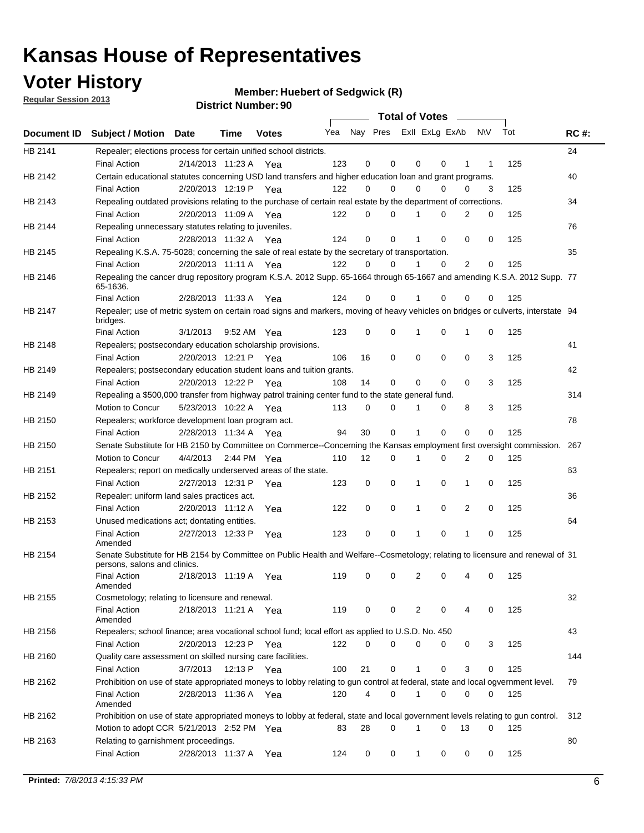### **Voter History**

**Member: Huebert of Sedgwick (R)** 

**Regular Session 2013**

|             |                                                                                                                                                               |          |                       |              |     |             | Total of Votes          |          |   |                |     |     |             |
|-------------|---------------------------------------------------------------------------------------------------------------------------------------------------------------|----------|-----------------------|--------------|-----|-------------|-------------------------|----------|---|----------------|-----|-----|-------------|
| Document ID | <b>Subject / Motion Date</b>                                                                                                                                  |          | Time                  | <b>Votes</b> | Yea |             | Nay Pres Exll ExLg ExAb |          |   |                | N\V | Tot | <b>RC#:</b> |
| HB 2141     | Repealer; elections process for certain unified school districts.<br><b>Final Action</b>                                                                      |          | 2/14/2013 11:23 A Yea |              | 123 | 0           | 0                       | 0        | 0 | 1              | 1   | 125 | 24          |
| HB 2142     | Certain educational statutes concerning USD land transfers and higher education loan and grant programs.                                                      |          |                       |              |     |             |                         |          |   |                |     |     | 40          |
| HB 2143     | <b>Final Action</b><br>Repealing outdated provisions relating to the purchase of certain real estate by the department of corrections.                        |          | 2/20/2013 12:19 P Yea |              | 122 | 0           | 0                       | $\Omega$ | 0 | 0              | 3   | 125 | 34          |
|             | <b>Final Action</b>                                                                                                                                           |          | 2/20/2013 11:09 A Yea |              | 122 | 0           | 0                       |          | 0 | $\overline{2}$ | 0   | 125 |             |
| HB 2144     | Repealing unnecessary statutes relating to juveniles.                                                                                                         |          |                       |              |     |             |                         |          |   |                |     |     | 76          |
|             | <b>Final Action</b>                                                                                                                                           |          | 2/28/2013 11:32 A Yea |              | 124 | $\mathbf 0$ | $\Omega$                |          | 0 | $\Omega$       | 0   | 125 |             |
| HB 2145     | Repealing K.S.A. 75-5028; concerning the sale of real estate by the secretary of transportation.                                                              |          |                       |              |     |             |                         |          |   |                |     |     | 35          |
|             | <b>Final Action</b>                                                                                                                                           |          | 2/20/2013 11:11 A Yea |              | 122 | 0           | 0                       | 1        | 0 | $\overline{2}$ | 0   | 125 |             |
| HB 2146     | Repealing the cancer drug repository program K.S.A. 2012 Supp. 65-1664 through 65-1667 and amending K.S.A. 2012 Supp. 77<br>65-1636.                          |          |                       |              |     |             |                         |          |   |                |     |     |             |
|             | <b>Final Action</b>                                                                                                                                           |          | 2/28/2013 11:33 A     | Yea          | 124 | 0           | 0                       |          | 0 | 0              | 0   | 125 |             |
| HB 2147     | Repealer; use of metric system on certain road signs and markers, moving of heavy vehicles on bridges or culverts, interstate 94<br>bridges.                  |          |                       |              |     |             |                         |          |   |                |     |     |             |
|             | <b>Final Action</b>                                                                                                                                           | 3/1/2013 |                       | 9:52 AM Yea  | 123 | 0           | 0                       | 1        | 0 | 1              | 0   | 125 |             |
| HB 2148     | Repealers; postsecondary education scholarship provisions.                                                                                                    |          | 2/20/2013 12:21 P     |              |     |             | 0                       | 0        | 0 |                |     |     | 41          |
|             | <b>Final Action</b>                                                                                                                                           |          |                       | Yea          | 106 | 16          |                         |          |   | 0              | 3   | 125 |             |
| HB 2149     | Repealers; postsecondary education student loans and tuition grants.<br><b>Final Action</b>                                                                   |          | 2/20/2013 12:22 P     |              | 108 | 14          | 0                       | 0        | 0 | 0              | 3   | 125 | 42          |
| HB 2149     | Repealing a \$500,000 transfer from highway patrol training center fund to the state general fund.                                                            |          |                       | Yea          |     |             |                         |          |   |                |     |     | 314         |
|             | Motion to Concur                                                                                                                                              |          | 5/23/2013 10:22 A Yea |              | 113 | 0           | 0                       | 1        | 0 | 8              | 3   | 125 |             |
| HB 2150     | Repealers; workforce development loan program act.                                                                                                            |          |                       |              |     |             |                         |          |   |                |     |     | 78          |
|             | <b>Final Action</b>                                                                                                                                           |          | 2/28/2013 11:34 A     | Yea          | 94  | 30          | 0                       | 1        | 0 | $\mathbf 0$    | 0   | 125 |             |
| HB 2150     | Senate Substitute for HB 2150 by Committee on Commerce--Concerning the Kansas employment first oversight commission.                                          |          |                       |              |     |             |                         |          |   |                |     |     | 267         |
|             | Motion to Concur                                                                                                                                              | 4/4/2013 |                       | 2:44 PM Yea  | 110 | 12          | 0                       | 1        | 0 | 2              | 0   | 125 |             |
| HB 2151     | Repealers; report on medically underserved areas of the state.                                                                                                |          |                       |              |     |             |                         |          |   |                |     |     | 63          |
|             | <b>Final Action</b>                                                                                                                                           |          | 2/27/2013 12:31 P     | Yea          | 123 | 0           | 0                       | 1        | 0 | 1              | 0   | 125 |             |
| HB 2152     | Repealer: uniform land sales practices act.                                                                                                                   |          |                       |              |     |             |                         |          |   |                |     |     | 36          |
|             | <b>Final Action</b>                                                                                                                                           |          | 2/20/2013 11:12 A     | Yea          | 122 | 0           | 0                       | 1        | 0 | 2              | 0   | 125 |             |
| HB 2153     | Unused medications act; dontating entities.                                                                                                                   |          |                       |              |     |             |                         |          |   |                |     |     | 64          |
|             | <b>Final Action</b><br>Amended                                                                                                                                |          | 2/27/2013 12:33 P     | Yea          | 123 | 0           | 0                       |          | 0 | 1              | 0   | 125 |             |
| HB 2154     | Senate Substitute for HB 2154 by Committee on Public Health and Welfare--Cosmetology; relating to licensure and renewal of 31<br>persons, salons and clinics. |          |                       |              |     |             |                         |          |   |                |     |     |             |
|             | <b>Final Action</b><br>Amended                                                                                                                                |          | 2/18/2013 11:19 A     | Yea          | 119 | 0           | 0                       | 2        | 0 | 4              | 0   | 125 |             |
| HB 2155     | Cosmetology; relating to licensure and renewal.                                                                                                               |          |                       |              |     |             |                         |          |   |                |     |     | 32          |
|             | <b>Final Action</b><br>Amended                                                                                                                                |          | 2/18/2013 11:21 A Yea |              | 119 | 0           | 0                       | 2        | 0 | 4              | 0   | 125 |             |
| HB 2156     | Repealers; school finance; area vocational school fund; local effort as applied to U.S.D. No. 450                                                             |          |                       |              |     |             |                         |          |   |                |     |     | 43          |
|             | <b>Final Action</b>                                                                                                                                           |          | 2/20/2013 12:23 P     | Yea          | 122 | 0           | 0                       | 0        | 0 | 0              | 3   | 125 |             |
| HB 2160     | Quality care assessment on skilled nursing care facilities.                                                                                                   |          |                       |              |     |             |                         |          |   |                |     |     | 144         |
|             | <b>Final Action</b>                                                                                                                                           | 3/7/2013 | 12:13 P               | Yea          | 100 | 21          | 0                       | 1        | 0 | 3              | 0   | 125 |             |
| HB 2162     | Prohibition on use of state appropriated moneys to lobby relating to gun control at federal, state and local ogvernment level.                                |          |                       |              |     |             |                         |          |   |                |     |     | 79          |
|             | <b>Final Action</b><br>Amended                                                                                                                                |          | 2/28/2013 11:36 A Yea |              | 120 | 4           | 0                       | 1        | 0 | 0              | 0   | 125 |             |
| HB 2162     | Prohibition on use of state appropriated moneys to lobby at federal, state and local government levels relating to gun control.                               |          |                       |              |     |             |                         |          |   |                |     |     | 312         |
|             | Motion to adopt CCR 5/21/2013 2:52 PM Yea                                                                                                                     |          |                       |              | 83  | 28          | $\Omega$                | 1        | 0 | 13             | 0   | 125 |             |
| HB 2163     | Relating to garnishment proceedings.                                                                                                                          |          |                       |              |     |             |                         |          |   |                |     |     | 80          |
|             | <b>Final Action</b>                                                                                                                                           |          | 2/28/2013 11:37 A Yea |              | 124 | 0           | 0                       | 1        | 0 | 0              | 0   | 125 |             |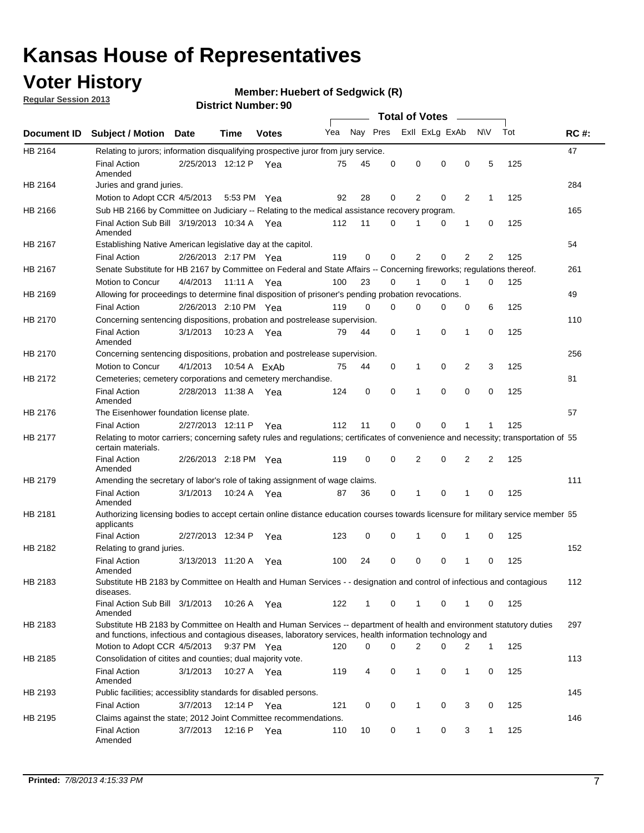### **Voter History**

**Member: Huebert of Sedgwick (R)** 

**Regular Session 2013**

|                |                                                                                                                                                                                                                                    |                       |             |              |     |          |          | <b>Total of Votes</b> |   |                |              |     |             |
|----------------|------------------------------------------------------------------------------------------------------------------------------------------------------------------------------------------------------------------------------------|-----------------------|-------------|--------------|-----|----------|----------|-----------------------|---|----------------|--------------|-----|-------------|
| Document ID    | Subject / Motion Date                                                                                                                                                                                                              |                       | Time        | <b>Votes</b> | Yea | Nay Pres |          | Exll ExLg ExAb        |   |                | <b>NV</b>    | Tot | <b>RC#:</b> |
| HB 2164        | Relating to jurors; information disqualifying prospective juror from jury service.                                                                                                                                                 |                       |             |              |     |          |          |                       |   |                |              |     | 47          |
|                | <b>Final Action</b><br>Amended                                                                                                                                                                                                     | 2/25/2013 12:12 P Yea |             |              | 75  | 45       | 0        | 0                     | 0 | 0              | 5            | 125 |             |
| HB 2164        | Juries and grand juries.                                                                                                                                                                                                           |                       |             |              |     |          |          |                       |   |                |              |     | 284         |
|                | Motion to Adopt CCR 4/5/2013                                                                                                                                                                                                       |                       |             | 5:53 PM Yea  | 92  | 28       | 0        | 2                     | 0 | 2              | $\mathbf{1}$ | 125 |             |
| HB 2166        | Sub HB 2166 by Committee on Judiciary -- Relating to the medical assistance recovery program.                                                                                                                                      |                       |             |              |     |          |          |                       |   |                |              |     | 165         |
|                | Final Action Sub Bill 3/19/2013 10:34 A Yea<br>Amended                                                                                                                                                                             |                       |             |              | 112 | 11       | 0        |                       | 0 | 1              | 0            | 125 |             |
| HB 2167        | Establishing Native American legislative day at the capitol.                                                                                                                                                                       |                       |             |              |     |          |          |                       |   |                |              |     | 54          |
|                | <b>Final Action</b>                                                                                                                                                                                                                | 2/26/2013 2:17 PM Yea |             |              | 119 | 0        | 0        | 2                     | 0 | $\overline{2}$ | 2            | 125 |             |
| HB 2167        | Senate Substitute for HB 2167 by Committee on Federal and State Affairs -- Concerning fireworks; regulations thereof.                                                                                                              |                       |             |              |     |          |          |                       |   |                |              |     | 261         |
|                | Motion to Concur                                                                                                                                                                                                                   | 4/4/2013 11:11 A Yea  |             |              | 100 | 23       | 0        |                       | 0 | 1              | $\Omega$     | 125 |             |
| HB 2169        | Allowing for proceedings to determine final disposition of prisoner's pending probation revocations.                                                                                                                               |                       |             |              |     |          |          |                       |   |                |              |     | 49          |
|                | <b>Final Action</b>                                                                                                                                                                                                                | 2/26/2013 2:10 PM Yea |             |              | 119 | $\Omega$ | $\Omega$ | $\Omega$              | 0 | 0              | 6            | 125 |             |
| HB 2170        | Concerning sentencing dispositions, probation and postrelease supervision.                                                                                                                                                         |                       |             |              |     |          |          |                       |   |                |              |     | 110         |
|                | <b>Final Action</b><br>Amended                                                                                                                                                                                                     | 3/1/2013              |             | 10:23 A Yea  | 79  | 44       | 0        | 1                     | 0 | $\mathbf{1}$   | 0            | 125 |             |
| <b>HB 2170</b> | Concerning sentencing dispositions, probation and postrelease supervision.                                                                                                                                                         |                       |             |              |     |          |          |                       |   |                |              |     | 256         |
|                | Motion to Concur                                                                                                                                                                                                                   | 4/1/2013              |             | 10:54 A ExAb | 75  | 44       | 0        | 1                     | 0 | 2              | 3            | 125 |             |
| HB 2172        | Cemeteries; cemetery corporations and cemetery merchandise.                                                                                                                                                                        |                       |             |              |     |          |          |                       |   |                |              |     | 81          |
|                | <b>Final Action</b><br>Amended                                                                                                                                                                                                     | 2/28/2013 11:38 A     |             | Yea          | 124 | 0        | 0        | 1                     | 0 | 0              | 0            | 125 |             |
| HB 2176        | The Eisenhower foundation license plate.                                                                                                                                                                                           |                       |             |              |     |          |          |                       |   |                |              |     | 57          |
|                | <b>Final Action</b>                                                                                                                                                                                                                | 2/27/2013 12:11 P     |             | Yea          | 112 | 11       | 0        | 0                     | 0 |                |              | 125 |             |
| HB 2177        | Relating to motor carriers; concerning safety rules and regulations; certificates of convenience and necessity; transportation of 55<br>certain materials.                                                                         |                       |             |              |     |          |          |                       |   |                |              |     |             |
|                | <b>Final Action</b><br>Amended                                                                                                                                                                                                     | 2/26/2013 2:18 PM Yea |             |              | 119 | 0        | 0        | 2                     | 0 | 2              | 2            | 125 |             |
| HB 2179        | Amending the secretary of labor's role of taking assignment of wage claims.                                                                                                                                                        |                       |             |              |     |          |          |                       |   |                |              |     | 111         |
|                | <b>Final Action</b><br>Amended                                                                                                                                                                                                     | 3/1/2013              |             | 10:24 A Yea  | 87  | 36       | 0        | 1                     | 0 | 1              | 0            | 125 |             |
| HB 2181        | Authorizing licensing bodies to accept certain online distance education courses towards licensure for military service member 55<br>applicants                                                                                    |                       |             |              |     |          |          |                       |   |                |              |     |             |
|                | <b>Final Action</b>                                                                                                                                                                                                                | 2/27/2013 12:34 P     |             | Yea          | 123 | 0        | 0        | 1                     | 0 | 1              | 0            | 125 |             |
| HB 2182        | Relating to grand juries.                                                                                                                                                                                                          |                       |             |              |     |          |          |                       |   |                |              |     | 152         |
|                | <b>Final Action</b><br>Amended                                                                                                                                                                                                     | 3/13/2013 11:20 A Yea |             |              | 100 | 24       | 0        | 0                     | 0 | 1              | 0            | 125 |             |
| HB 2183        | Substitute HB 2183 by Committee on Health and Human Services - - designation and control of infectious and contagious<br>diseases.                                                                                                 |                       |             |              |     |          |          |                       |   |                |              |     | 112         |
|                | Final Action Sub Bill 3/1/2013<br>Amended                                                                                                                                                                                          |                       |             | 10:26 A Yea  | 122 | 1        | 0        | $\mathbf{1}$          | 0 | 1              | 0            | 125 |             |
| HB 2183        | Substitute HB 2183 by Committee on Health and Human Services -- department of health and environment statutory duties<br>and functions, infectious and contagious diseases, laboratory services, health information technology and |                       |             |              |     |          |          |                       |   |                |              |     | 297         |
|                | Motion to Adopt CCR 4/5/2013                                                                                                                                                                                                       |                       |             | 9:37 PM Yea  | 120 | 0        | $\Omega$ | 2                     | 0 | 2              | $\mathbf{1}$ | 125 |             |
| HB 2185        | Consolidation of citites and counties; dual majority vote.                                                                                                                                                                         |                       |             |              |     |          |          |                       |   |                |              |     | 113         |
|                | <b>Final Action</b><br>Amended                                                                                                                                                                                                     | 3/1/2013              |             | 10:27 A Yea  | 119 | 4        | 0        | 1                     | 0 | 1              | 0            | 125 |             |
| HB 2193        | Public facilities; accessiblity standards for disabled persons.                                                                                                                                                                    |                       |             |              |     |          |          |                       |   |                |              |     | 145         |
|                | <b>Final Action</b>                                                                                                                                                                                                                | 3/7/2013              | 12:14 P Yea |              | 121 | 0        | 0        | 1                     | 0 | 3              | 0            | 125 |             |
| HB 2195        | Claims against the state; 2012 Joint Committee recommendations.                                                                                                                                                                    |                       |             |              |     |          |          |                       |   |                |              |     | 146         |
|                | <b>Final Action</b><br>Amended                                                                                                                                                                                                     | 3/7/2013              | 12:16 P Yea |              | 110 | 10       | 0        | $\mathbf{1}$          | 0 | 3              | $\mathbf{1}$ | 125 |             |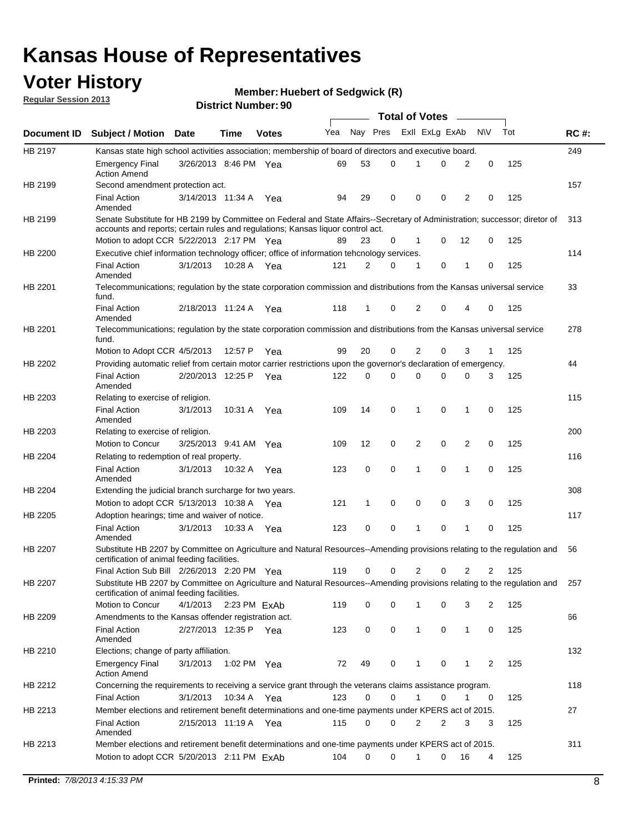### **Voter History**

**Member: Huebert of Sedgwick (R)** 

**Regular Session 2013**

|                |                                                                                                                                                                                                                |                       |              |              |     |             |          | <b>Total of Votes</b> |   |                |              |     |             |
|----------------|----------------------------------------------------------------------------------------------------------------------------------------------------------------------------------------------------------------|-----------------------|--------------|--------------|-----|-------------|----------|-----------------------|---|----------------|--------------|-----|-------------|
| Document ID    | <b>Subject / Motion Date</b>                                                                                                                                                                                   |                       | Time         | <b>Votes</b> | Yea | Nay Pres    |          | Exll ExLg ExAb        |   |                | <b>NV</b>    | Tot | <b>RC#:</b> |
| HB 2197        | Kansas state high school activities association; membership of board of directors and executive board.                                                                                                         |                       |              |              |     |             |          |                       |   |                |              |     | 249         |
|                | <b>Emergency Final</b><br><b>Action Amend</b>                                                                                                                                                                  | 3/26/2013 8:46 PM Yea |              |              | 69  | 53          | 0        |                       | 0 | 2              | 0            | 125 |             |
| HB 2199        | Second amendment protection act.                                                                                                                                                                               |                       |              |              |     |             |          |                       |   |                |              |     | 157         |
|                | <b>Final Action</b><br>Amended                                                                                                                                                                                 | 3/14/2013 11:34 A     |              | Yea          | 94  | 29          | 0        | 0                     | 0 | 2              | 0            | 125 |             |
| HB 2199        | Senate Substitute for HB 2199 by Committee on Federal and State Affairs--Secretary of Administration; successor; diretor of<br>accounts and reports; certain rules and regulations; Kansas liquor control act. |                       |              |              |     |             |          |                       |   |                |              |     | 313         |
|                | Motion to adopt CCR 5/22/2013 2:17 PM Yea                                                                                                                                                                      |                       |              |              | 89  | 23          | 0        | 1                     | 0 | 12             | 0            | 125 |             |
| HB 2200        | Executive chief information technology officer; office of information tehcnology services.                                                                                                                     |                       |              |              |     |             |          |                       |   |                |              |     | 114         |
|                | <b>Final Action</b><br>Amended                                                                                                                                                                                 | 3/1/2013              | 10:28 A      | Yea          | 121 | 2           | 0        | 1                     | 0 | 1              | 0            | 125 |             |
| HB 2201        | Telecommunications; regulation by the state corporation commission and distributions from the Kansas universal service<br>fund.                                                                                |                       |              |              |     |             |          |                       |   |                |              |     | 33          |
|                | <b>Final Action</b><br>Amended                                                                                                                                                                                 | 2/18/2013 11:24 A     |              | Yea          | 118 | 1           | 0        | 2                     | 0 | 4              | 0            | 125 |             |
| HB 2201        | Telecommunications; regulation by the state corporation commission and distributions from the Kansas universal service<br>fund.                                                                                |                       |              |              |     |             |          |                       |   |                |              |     | 278         |
|                | Motion to Adopt CCR 4/5/2013                                                                                                                                                                                   |                       | 12:57 P      | Yea          | 99  | 20          | 0        | 2                     | 0 | 3              | $\mathbf{1}$ | 125 |             |
| HB 2202        | Providing automatic relief from certain motor carrier restrictions upon the governor's declaration of emergency.                                                                                               |                       |              |              |     |             |          |                       |   |                |              |     | 44          |
|                | <b>Final Action</b><br>Amended                                                                                                                                                                                 | 2/20/2013 12:25 P     |              | Yea          | 122 | 0           | 0        | 0                     | 0 | 0              | 3            | 125 |             |
| HB 2203        | Relating to exercise of religion.                                                                                                                                                                              |                       |              |              |     |             |          |                       |   |                |              |     | 115         |
|                | <b>Final Action</b><br>Amended                                                                                                                                                                                 | 3/1/2013              | 10:31 A      | Yea          | 109 | 14          | 0        | 1                     | 0 | 1              | 0            | 125 |             |
| HB 2203        | Relating to exercise of religion.                                                                                                                                                                              |                       |              |              |     |             |          |                       |   |                |              |     | 200         |
|                | Motion to Concur                                                                                                                                                                                               | 3/25/2013 9:41 AM     |              | Yea          | 109 | 12          | 0        | 2                     | 0 | 2              | 0            | 125 |             |
| HB 2204        | Relating to redemption of real property.                                                                                                                                                                       |                       |              |              |     |             |          |                       |   |                |              |     | 116         |
|                | <b>Final Action</b><br>Amended                                                                                                                                                                                 | 3/1/2013              | 10:32 A      | Yea          | 123 | $\mathbf 0$ | 0        | 1                     | 0 | $\mathbf{1}$   | 0            | 125 |             |
| HB 2204        | Extending the judicial branch surcharge for two years.                                                                                                                                                         |                       |              |              |     |             |          |                       |   |                |              |     | 308         |
|                | Motion to adopt CCR 5/13/2013 10:38 A Yea                                                                                                                                                                      |                       |              |              | 121 | 1           | 0        | 0                     | 0 | 3              | 0            | 125 |             |
| HB 2205        | Adoption hearings; time and waiver of notice.                                                                                                                                                                  |                       |              |              |     |             |          |                       |   |                |              |     | 117         |
|                | <b>Final Action</b><br>Amended                                                                                                                                                                                 | 3/1/2013              | 10:33 A Yea  |              | 123 | 0           | 0        | 1                     | 0 | 1              | 0            | 125 |             |
| HB 2207        | Substitute HB 2207 by Committee on Agriculture and Natural Resources--Amending provisions relating to the regulation and<br>certification of animal feeding facilities.                                        |                       |              |              |     |             |          |                       |   |                |              |     | 56          |
|                | Final Action Sub Bill 2/26/2013 2:20 PM Yea                                                                                                                                                                    |                       |              |              | 119 | 0           | 0        | 2                     | 0 | $\overline{2}$ | 2            | 125 |             |
| <b>HB 2207</b> | Substitute HB 2207 by Committee on Agriculture and Natural Resources--Amending provisions relating to the regulation and 257<br>certification of animal feeding facilities.                                    |                       |              |              |     |             |          |                       |   |                |              |     |             |
|                | Motion to Concur                                                                                                                                                                                               | 4/1/2013              | 2:23 PM ExAb |              | 119 | 0           | 0        | 1                     | 0 | 3              | 2            | 125 |             |
| HB 2209        | Amendments to the Kansas offender registration act.                                                                                                                                                            |                       |              |              |     |             |          |                       |   |                |              |     | 66          |
|                | <b>Final Action</b><br>Amended                                                                                                                                                                                 | 2/27/2013 12:35 P Yea |              |              | 123 | 0           | 0        | $\mathbf{1}$          | 0 | $\mathbf{1}$   | 0            | 125 |             |
| HB 2210        | Elections; change of party affiliation.                                                                                                                                                                        |                       |              |              |     |             |          |                       |   |                |              |     | 132         |
|                | <b>Emergency Final</b><br><b>Action Amend</b>                                                                                                                                                                  | 3/1/2013              | 1:02 PM Yea  |              | 72  | 49          | 0        |                       | 0 | 1              | 2            | 125 |             |
| HB 2212        | Concerning the requirements to receiving a service grant through the veterans claims assistance program.                                                                                                       |                       |              |              |     |             |          |                       |   |                |              |     | 118         |
|                | <b>Final Action</b>                                                                                                                                                                                            | 3/1/2013              | 10:34 A Yea  |              | 123 | 0           | 0        | $\mathbf{1}$          | 0 | 1              | 0            | 125 |             |
| HB 2213        | Member elections and retirement benefit determinations and one-time payments under KPERS act of 2015.                                                                                                          |                       |              |              |     |             |          |                       |   |                |              |     | 27          |
|                | <b>Final Action</b><br>Amended                                                                                                                                                                                 | 2/15/2013 11:19 A Yea |              |              | 115 | 0           | 0        | 2                     | 2 | 3              | 3            | 125 |             |
| HB 2213        | Member elections and retirement benefit determinations and one-time payments under KPERS act of 2015.<br>Motion to adopt CCR 5/20/2013 2:11 PM ExAb                                                            |                       |              |              | 104 | $\Omega$    | $\Omega$ | 1                     | 0 | 16             | 4            | 125 | 311         |
|                |                                                                                                                                                                                                                |                       |              |              |     |             |          |                       |   |                |              |     |             |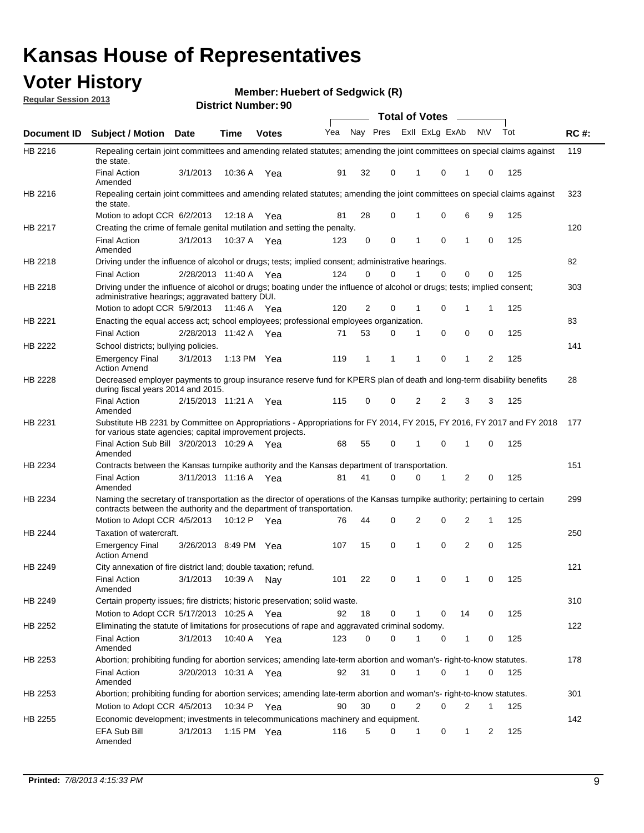### **Voter History**

**Member: Huebert of Sedgwick (R)** 

**Regular Session 2013**

|                    |                                                                                                                                                                                                       |                       |         | טט. וסעוווערו ועוווטכו |              |    |   | <b>Total of Votes</b> |          | $\sim$       |           |     |     |
|--------------------|-------------------------------------------------------------------------------------------------------------------------------------------------------------------------------------------------------|-----------------------|---------|------------------------|--------------|----|---|-----------------------|----------|--------------|-----------|-----|-----|
| <b>Document ID</b> | <b>Subject / Motion Date</b>                                                                                                                                                                          |                       | Time    | <b>Votes</b>           | Yea Nay Pres |    |   | Exll ExLg ExAb        |          |              | <b>NV</b> | Tot | RC# |
| HB 2216            | Repealing certain joint committees and amending related statutes; amending the joint committees on special claims against<br>the state.                                                               |                       |         |                        |              |    |   |                       |          |              |           |     | 119 |
|                    | <b>Final Action</b><br>Amended                                                                                                                                                                        | 3/1/2013              | 10:36 A | Yea                    | 91           | 32 | 0 | 1                     | 0        | 1            | 0         | 125 |     |
| HB 2216            | Repealing certain joint committees and amending related statutes; amending the joint committees on special claims against<br>the state.                                                               |                       |         |                        |              |    |   |                       |          |              |           |     | 323 |
|                    | Motion to adopt CCR 6/2/2013                                                                                                                                                                          |                       | 12:18 A | Yea                    | 81           | 28 | 0 | 1                     | 0        | 6            | 9         | 125 |     |
| HB 2217            | Creating the crime of female genital mutilation and setting the penalty.                                                                                                                              |                       |         |                        |              |    |   |                       |          |              |           |     | 120 |
|                    | <b>Final Action</b><br>Amended                                                                                                                                                                        | 3/1/2013              |         | 10:37 A Yea            | 123          | 0  | 0 | 1                     | 0        | $\mathbf{1}$ | 0         | 125 |     |
| HB 2218            | Driving under the influence of alcohol or drugs; tests; implied consent; administrative hearings.                                                                                                     |                       |         |                        |              |    |   |                       |          |              |           |     | 82  |
|                    | <b>Final Action</b>                                                                                                                                                                                   | 2/28/2013 11:40 A Yea |         |                        | 124          | 0  | 0 |                       | $\Omega$ | 0            | 0         | 125 |     |
| HB 2218            | Driving under the influence of alcohol or drugs; boating under the influence of alcohol or drugs; tests; implied consent;<br>administrative hearings; aggravated battery DUI.                         |                       |         |                        |              |    |   |                       |          |              |           |     | 303 |
|                    | Motion to adopt CCR 5/9/2013 11:46 A                                                                                                                                                                  |                       |         | Yea                    | 120          | 2  | 0 | 1                     | 0        | 1            | 1         | 125 |     |
| HB 2221            | Enacting the equal access act; school employees; professional employees organization.                                                                                                                 |                       |         |                        |              |    |   |                       |          |              |           |     | 83  |
|                    | <b>Final Action</b>                                                                                                                                                                                   | 2/28/2013 11:42 A     |         | Yea                    | 71           | 53 | 0 | 1                     | 0        | 0            | 0         | 125 |     |
| HB 2222            | School districts; bullying policies.                                                                                                                                                                  |                       |         |                        |              |    |   |                       |          |              |           |     | 141 |
|                    | <b>Emergency Final</b><br><b>Action Amend</b>                                                                                                                                                         | 3/1/2013              |         | 1:13 PM $Yea$          | 119          | 1  | 1 | 1                     | 0        | 1            | 2         | 125 |     |
| <b>HB 2228</b>     | Decreased employer payments to group insurance reserve fund for KPERS plan of death and long-term disability benefits<br>during fiscal years 2014 and 2015.                                           |                       |         |                        |              |    |   |                       |          |              |           |     | 28  |
|                    | <b>Final Action</b><br>Amended                                                                                                                                                                        | 2/15/2013 11:21 A Yea |         |                        | 115          | 0  | 0 | 2                     | 2        | 3            | 3         | 125 |     |
| HB 2231            | Substitute HB 2231 by Committee on Appropriations - Appropriations for FY 2014, FY 2015, FY 2016, FY 2017 and FY 2018<br>for various state agencies; capital improvement projects.                    |                       |         |                        |              |    |   |                       |          |              |           |     | 177 |
|                    | Final Action Sub Bill 3/20/2013 10:29 A Yea<br>Amended                                                                                                                                                |                       |         |                        | 68           | 55 | 0 |                       | 0        | 1            | 0         | 125 |     |
| HB 2234            | Contracts between the Kansas turnpike authority and the Kansas department of transportation.                                                                                                          |                       |         |                        |              |    |   |                       |          |              |           |     | 151 |
|                    | <b>Final Action</b><br>Amended                                                                                                                                                                        | 3/11/2013 11:16 A Yea |         |                        | 81           | 41 | 0 | 0                     | 1        | 2            | 0         | 125 |     |
| HB 2234            | Naming the secretary of transportation as the director of operations of the Kansas turnpike authority; pertaining to certain<br>contracts between the authority and the department of transportation. |                       |         |                        |              |    |   |                       |          |              |           |     | 299 |
|                    | Motion to Adopt CCR 4/5/2013                                                                                                                                                                          |                       | 10:12 P | Yea                    | 76           | 44 | 0 | 2                     | 0        | 2            | 1         | 125 |     |
| HB 2244            | Taxation of watercraft.<br><b>Emergency Final</b>                                                                                                                                                     | 3/26/2013 8:49 PM Yea |         |                        | 107          | 15 | 0 | 1                     | 0        | 2            | 0         | 125 | 250 |
| HB 2249            | <b>Action Amend</b>                                                                                                                                                                                   |                       |         |                        |              |    |   |                       |          |              |           |     |     |
|                    | City annexation of fire district land; double taxation; refund.                                                                                                                                       |                       |         |                        |              |    |   |                       |          |              |           |     | 121 |
|                    | Final Action 3/1/2013 10:39 A Nay<br>Amended                                                                                                                                                          |                       |         |                        | 101          | 22 | 0 | $\mathbf{1}$          | 0        | $\mathbf{1}$ | 0         | 125 |     |
| HB 2249            | Certain property issues; fire districts; historic preservation; solid waste.                                                                                                                          |                       |         |                        |              |    |   |                       |          |              |           |     | 310 |
|                    | Motion to Adopt CCR 5/17/2013 10:25 A Yea                                                                                                                                                             |                       |         |                        | 92           | 18 | 0 | 1                     | 0        | 14           | 0         | 125 |     |
| HB 2252            | Eliminating the statute of limitations for prosecutions of rape and aggravated criminal sodomy.                                                                                                       |                       |         |                        |              |    |   |                       |          |              |           |     | 122 |
|                    | <b>Final Action</b><br>Amended                                                                                                                                                                        | 3/1/2013              |         | 10:40 A Yea            | 123          | 0  | 0 |                       | 0        | 1            | 0         | 125 |     |
| HB 2253            | Abortion; prohibiting funding for abortion services; amending late-term abortion and woman's- right-to-know statutes.                                                                                 |                       |         |                        |              |    |   |                       |          |              |           |     | 178 |
|                    | <b>Final Action</b><br>Amended                                                                                                                                                                        | 3/20/2013 10:31 A Yea |         |                        | 92           | 31 | 0 | 1                     | 0        | 1            | 0         | 125 |     |
| HB 2253            | Abortion; prohibiting funding for abortion services; amending late-term abortion and woman's- right-to-know statutes.                                                                                 |                       |         |                        |              |    |   |                       |          |              |           |     | 301 |
|                    | Motion to Adopt CCR 4/5/2013                                                                                                                                                                          |                       |         | 10:34 P Yea            | 90           | 30 | 0 | 2                     | 0        | 2            | 1         | 125 |     |
| HB 2255            | Economic development; investments in telecommunications machinery and equipment.                                                                                                                      |                       |         |                        |              |    |   |                       |          |              |           |     | 142 |
|                    | EFA Sub Bill<br>Amended                                                                                                                                                                               | 3/1/2013              |         | 1:15 PM $Yea$          | 116          | 5  | 0 | -1                    | 0        | 1            | 2         | 125 |     |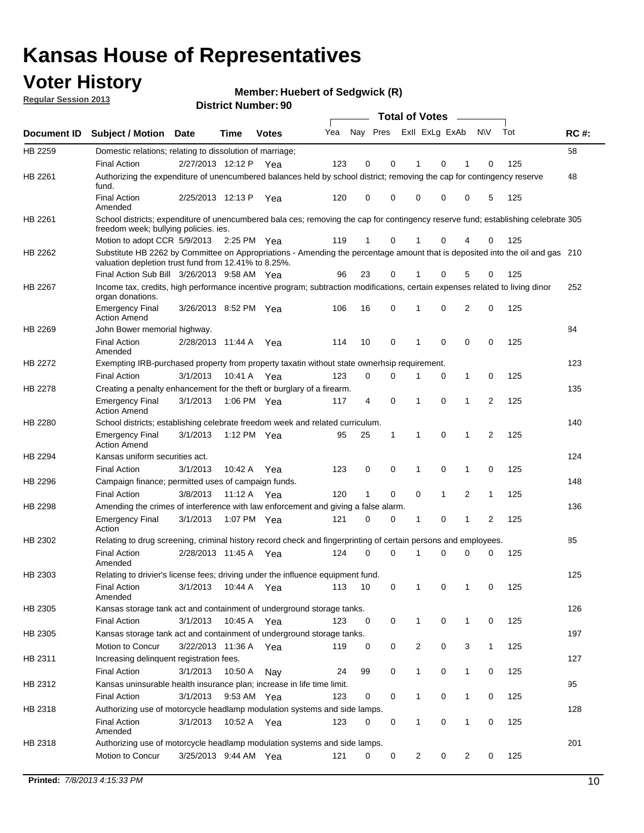### **Voter History**

**Member: Huebert of Sedgwick (R)** 

**Regular Session 2013**

|                    |                                                                                                                                                                                       |                       | טט. וסעוווער ועוווטכו |              |     |                         |             | <b>Total of Votes</b> |              | $\sim$         |              |     |             |
|--------------------|---------------------------------------------------------------------------------------------------------------------------------------------------------------------------------------|-----------------------|-----------------------|--------------|-----|-------------------------|-------------|-----------------------|--------------|----------------|--------------|-----|-------------|
| <b>Document ID</b> | <b>Subject / Motion</b>                                                                                                                                                               | Date                  | Time                  | <b>Votes</b> | Yea | Nay Pres Exll ExLg ExAb |             |                       |              |                | N\V          | Tot | <b>RC#:</b> |
| HB 2259            | Domestic relations; relating to dissolution of marriage;                                                                                                                              |                       |                       |              |     |                         |             |                       |              |                |              |     | 58          |
|                    | <b>Final Action</b>                                                                                                                                                                   | 2/27/2013 12:12 P     |                       | Yea          | 123 | 0                       | 0           | 1                     | 0            | 1              | $\Omega$     | 125 |             |
| HB 2261            | Authorizing the expenditure of unencumbered balances held by school district; removing the cap for contingency reserve<br>fund.                                                       |                       |                       |              |     |                         |             |                       |              |                |              |     | 48          |
|                    | <b>Final Action</b><br>Amended                                                                                                                                                        | 2/25/2013 12:13 P     |                       | Yea          | 120 | 0                       | 0           | 0                     | 0            | 0              | 5            | 125 |             |
| HB 2261            | School districts; expenditure of unencumbered bala ces; removing the cap for contingency reserve fund; establishing celebrate 305<br>freedom week; bullying policies. ies.            |                       |                       |              |     |                         |             |                       |              |                |              |     |             |
|                    | Motion to adopt CCR 5/9/2013                                                                                                                                                          |                       | 2:25 PM Yea           |              | 119 | 1                       | 0           |                       | 0            | 4              | 0            | 125 |             |
| HB 2262            | Substitute HB 2262 by Committee on Appropriations - Amending the percentage amount that is deposited into the oil and gas 210<br>valuation depletion trust fund from 12.41% to 8.25%. |                       |                       |              |     |                         |             |                       |              |                |              |     |             |
|                    | Final Action Sub Bill 3/26/2013 9:58 AM Yea                                                                                                                                           |                       |                       |              | 96  | 23                      | 0           |                       | 0            | 5              | 0            | 125 |             |
| HB 2267            | Income tax, credits, high performance incentive program; subtraction modifications, certain expenses related to living dinor<br>organ donations.                                      |                       |                       |              |     |                         |             |                       |              |                |              |     | 252         |
|                    | <b>Emergency Final</b><br><b>Action Amend</b>                                                                                                                                         | 3/26/2013 8:52 PM Yea |                       |              | 106 | 16                      | 0           | 1                     | 0            | 2              | 0            | 125 |             |
| HB 2269            | John Bower memorial highway.                                                                                                                                                          |                       |                       |              |     |                         |             |                       |              |                |              |     | 84          |
|                    | <b>Final Action</b><br>Amended                                                                                                                                                        | 2/28/2013 11:44 A Yea |                       |              | 114 | 10                      | 0           | 1                     | 0            | 0              | 0            | 125 |             |
| HB 2272            | Exempting IRB-purchased property from property taxatin without state ownerhsip requirement.                                                                                           |                       |                       |              |     |                         |             |                       |              |                |              |     | 123         |
|                    | <b>Final Action</b>                                                                                                                                                                   | 3/1/2013              | 10:41 A Yea           |              | 123 | 0                       | 0           | 1                     | 0            | $\mathbf{1}$   | 0            | 125 |             |
| HB 2278            | Creating a penalty enhancement for the theft or burglary of a firearm.                                                                                                                |                       |                       |              |     |                         |             |                       |              |                |              |     | 135         |
|                    | <b>Emergency Final</b><br><b>Action Amend</b>                                                                                                                                         | 3/1/2013              | 1:06 PM Yea           |              | 117 | 4                       | $\mathbf 0$ | $\mathbf 1$           | $\Omega$     | 1              | 2            | 125 |             |
| HB 2280            | School districts; establishing celebrate freedom week and related curriculum.                                                                                                         |                       |                       |              |     |                         |             |                       |              |                |              |     | 140         |
|                    | <b>Emergency Final</b><br><b>Action Amend</b>                                                                                                                                         | 3/1/2013              | 1:12 PM Yea           |              | 95  | 25                      | 1           | 1                     | 0            | 1              | 2            | 125 |             |
| HB 2294            | Kansas uniform securities act.                                                                                                                                                        |                       |                       |              |     |                         |             |                       |              |                |              |     | 124         |
|                    | <b>Final Action</b>                                                                                                                                                                   | 3/1/2013              | 10:42 A Yea           |              | 123 | 0                       | 0           | 1                     | $\mathbf 0$  | $\mathbf{1}$   | 0            | 125 |             |
| HB 2296            | Campaign finance; permitted uses of campaign funds.                                                                                                                                   |                       |                       |              |     |                         |             |                       |              |                |              |     | 148         |
|                    | <b>Final Action</b>                                                                                                                                                                   | 3/8/2013              | 11:12 A Yea           |              | 120 | $\mathbf{1}$            | 0           | 0                     | $\mathbf{1}$ | $\overline{2}$ | $\mathbf{1}$ | 125 |             |
| HB 2298            | Amending the crimes of interference with law enforcement and giving a false alarm.                                                                                                    |                       |                       |              |     |                         |             |                       |              |                |              |     | 136         |
|                    | <b>Emergency Final</b><br>Action                                                                                                                                                      | 3/1/2013              | 1:07 PM Yea           |              | 121 | 0                       | 0           | 1                     | 0            | $\mathbf{1}$   | 2            | 125 |             |
| HB 2302            | Relating to drug screening, criminal history record check and fingerprinting of certain persons and employees.                                                                        |                       |                       |              |     |                         |             |                       |              |                |              |     | 85          |
|                    | <b>Final Action</b><br>Amended                                                                                                                                                        | 2/28/2013 11:45 A Yea |                       |              | 124 | 0                       | $\Omega$    | 1                     | 0            | 0              | $\mathbf 0$  | 125 |             |
| HB 2303            | Relating to drivier's license fees; driving under the influence equipment fund.                                                                                                       |                       |                       |              |     |                         |             |                       |              |                |              |     | 125         |
|                    | <b>Final Action</b><br>Amended                                                                                                                                                        | 3/1/2013              | 10:44 A               | Yea          | 113 | 10                      | 0           | $\mathbf 1$           | 0            | 1              | 0            | 125 |             |
| HB 2305            | Kansas storage tank act and containment of underground storage tanks.                                                                                                                 |                       |                       |              |     |                         |             |                       |              |                |              |     | 126         |
|                    | <b>Final Action</b>                                                                                                                                                                   | 3/1/2013              | 10:45 A               | Yea          | 123 | 0                       | 0           | 1                     | 0            | 1              | 0            | 125 |             |
| HB 2305            | Kansas storage tank act and containment of underground storage tanks.                                                                                                                 |                       |                       |              |     |                         |             |                       |              |                |              |     | 197         |
|                    | Motion to Concur                                                                                                                                                                      | 3/22/2013 11:36 A     |                       | Yea          | 119 | 0                       | 0           | 2                     | 0            | 3              | $\mathbf{1}$ | 125 |             |
| HB 2311            | Increasing delinquent registration fees.                                                                                                                                              |                       |                       |              |     |                         |             |                       |              |                |              |     | 127         |
|                    | <b>Final Action</b>                                                                                                                                                                   | 3/1/2013              | 10:50 A               | Nay          | 24  | 99                      | 0           | $\mathbf{1}$          | 0            | $\mathbf{1}$   | 0            | 125 |             |
| HB 2312            | Kansas uninsurable health insurance plan; increase in life time limit.                                                                                                                |                       |                       |              |     |                         |             |                       |              |                |              |     | 95          |
|                    | <b>Final Action</b>                                                                                                                                                                   | 3/1/2013              | 9:53 AM Yea           |              | 123 | 0                       | 0           | 1                     | 0            | 1              | 0            | 125 |             |
| HB 2318            | Authorizing use of motorcycle headlamp modulation systems and side lamps.                                                                                                             |                       |                       |              |     |                         |             |                       |              |                |              |     | 128         |
|                    | <b>Final Action</b><br>Amended                                                                                                                                                        | 3/1/2013              | 10:52 A Yea           |              | 123 | 0                       | 0           | 1                     | 0            | 1              | 0            | 125 |             |
| HB 2318            | Authorizing use of motorcycle headlamp modulation systems and side lamps.                                                                                                             |                       |                       |              |     |                         |             |                       |              |                |              |     | 201         |
|                    | Motion to Concur                                                                                                                                                                      | 3/25/2013 9:44 AM Yea |                       |              | 121 | 0                       | 0           | 2                     | 0            | $\overline{2}$ | 0            | 125 |             |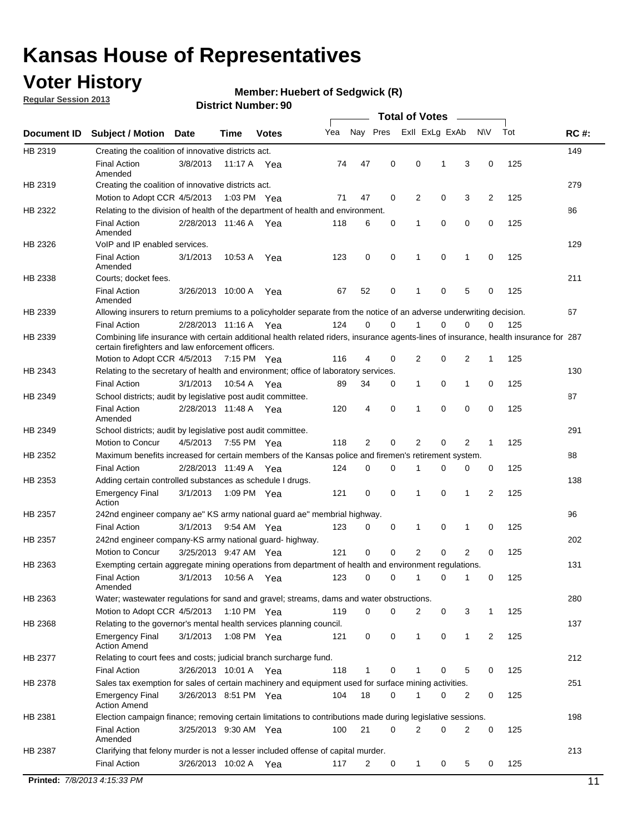### **Voter History**

**Member: Huebert of Sedgwick (R)** 

**Regular Session 2013**

#### **District Number: 90**

|             |                                                                     |                       |             |              |                                                                                                                                       |                  | <b>Total of Votes</b> |             |                |              |     |             |
|-------------|---------------------------------------------------------------------|-----------------------|-------------|--------------|---------------------------------------------------------------------------------------------------------------------------------------|------------------|-----------------------|-------------|----------------|--------------|-----|-------------|
| Document ID | <b>Subject / Motion</b>                                             | <b>Date</b>           | Time        | <b>Votes</b> | Yea                                                                                                                                   | Nay Pres         | Exll ExLg ExAb        |             |                | <b>NV</b>    | Tot | <b>RC#:</b> |
| HB 2319     | Creating the coalition of innovative districts act.                 |                       |             |              |                                                                                                                                       |                  |                       |             |                |              |     | 149         |
|             | <b>Final Action</b><br>Amended                                      | 3/8/2013              |             | 11:17 A Yea  | 74                                                                                                                                    | 47<br>0          | 0                     | 1           | 3              | 0            | 125 |             |
| HB 2319     | Creating the coalition of innovative districts act.                 |                       |             |              |                                                                                                                                       |                  |                       |             |                |              |     | 279         |
|             | Motion to Adopt CCR 4/5/2013                                        |                       |             | 1:03 PM Yea  | 71                                                                                                                                    | 47<br>0          | 2                     | 0           | 3              | 2            | 125 |             |
| HB 2322     |                                                                     |                       |             |              | Relating to the division of health of the department of health and environment.                                                       |                  |                       |             |                |              |     | 86          |
|             | <b>Final Action</b><br>Amended                                      | 2/28/2013 11:46 A Yea |             |              | 118                                                                                                                                   | 0<br>6           | 1                     | 0           | 0              | 0            | 125 |             |
| HB 2326     | VoIP and IP enabled services.                                       |                       |             |              |                                                                                                                                       |                  |                       |             |                |              |     | 129         |
|             | <b>Final Action</b><br>Amended                                      | 3/1/2013              | 10:53 A     | Yea          | 123                                                                                                                                   | 0<br>0           | 1                     | $\mathbf 0$ | 1              | 0            | 125 |             |
| HB 2338     | Courts; docket fees.                                                |                       |             |              |                                                                                                                                       |                  |                       |             |                |              |     | 211         |
|             | <b>Final Action</b><br>Amended                                      | 3/26/2013 10:00 A     |             | Yea          | 67                                                                                                                                    | 0<br>52          | 1                     | 0           | 5              | 0            | 125 |             |
| HB 2339     |                                                                     |                       |             |              | Allowing insurers to return premiums to a policyholder separate from the notice of an adverse underwriting decision.                  |                  |                       |             |                |              |     | 67          |
|             | <b>Final Action</b>                                                 | 2/28/2013 11:16 A Yea |             |              | 124                                                                                                                                   | 0<br>0           | 1                     | 0           | 0              | 0            | 125 |             |
| HB 2339     | certain firefighters and law enforcement officers.                  |                       |             |              | Combining life insurance with certain additional health related riders, insurance agents-lines of insurance, health insurance for 287 |                  |                       |             |                |              |     |             |
|             | Motion to Adopt CCR 4/5/2013 7:15 PM Yea                            |                       |             |              | 116                                                                                                                                   | 4<br>0           | 2                     | 0           | 2              | 1            | 125 |             |
| HB 2343     |                                                                     |                       |             |              | Relating to the secretary of health and environment; office of laboratory services.                                                   |                  |                       |             |                |              |     | 130         |
|             | <b>Final Action</b>                                                 | 3/1/2013              | 10:54 A Yea |              | 89                                                                                                                                    | 34<br>0          | 1                     | 0           | 1              | 0            | 125 |             |
| HB 2349     | School districts; audit by legislative post audit committee.        |                       |             |              |                                                                                                                                       |                  |                       |             |                |              |     | 87          |
|             | <b>Final Action</b><br>Amended                                      | 2/28/2013 11:48 A Yea |             |              | 120                                                                                                                                   | 0<br>4           | 1                     | 0           | 0              | $\mathbf 0$  | 125 |             |
| HB 2349     | School districts; audit by legislative post audit committee.        |                       |             |              |                                                                                                                                       |                  |                       |             |                |              |     | 291         |
|             | Motion to Concur                                                    | 4/5/2013              |             | 7:55 PM Yea  | 118                                                                                                                                   | 2<br>0           | 2                     | 0           | 2              | $\mathbf{1}$ | 125 |             |
| HB 2352     |                                                                     |                       |             |              | Maximum benefits increased for certain members of the Kansas police and firemen's retirement system.                                  |                  |                       |             |                |              |     | 88          |
|             | <b>Final Action</b>                                                 | 2/28/2013 11:49 A     |             | Yea          | 124                                                                                                                                   | 0<br>0           | 1                     | 0           | 0              | 0            | 125 |             |
| HB 2353     | Adding certain controlled substances as schedule I drugs.           |                       |             |              |                                                                                                                                       |                  |                       |             |                |              |     | 138         |
|             | <b>Emergency Final</b><br>Action                                    | 3/1/2013              |             | 1:09 PM Yea  | 121                                                                                                                                   | 0<br>0           | $\mathbf 1$           | 0           | 1              | 2            | 125 |             |
| HB 2357     |                                                                     |                       |             |              | 242nd engineer company ae" KS army national guard ae" membrial highway.                                                               |                  |                       |             |                |              |     | 96          |
|             | <b>Final Action</b>                                                 | 3/1/2013              |             | 9:54 AM Yea  | 123                                                                                                                                   | 0<br>0           | 1                     | 0           | 1              | 0            | 125 |             |
| HB 2357     | 242nd engineer company-KS army national guard- highway.             |                       |             |              |                                                                                                                                       |                  |                       |             |                |              |     | 202         |
|             | Motion to Concur                                                    | 3/25/2013 9:47 AM Yea |             |              | 121                                                                                                                                   | $\mathbf 0$<br>0 | 2                     | 0           | $\overline{2}$ | 0            | 125 |             |
| HB 2363     |                                                                     |                       |             |              | Exempting certain aggregate mining operations from department of health and environment regulations.                                  |                  |                       |             |                |              |     | 131         |
|             | <b>Final Action</b><br>Amended                                      | 3/1/2013              |             | 10:56 A Yea  | 123                                                                                                                                   | 0<br>0           | $\mathbf{1}$          | 0           | 1              | 0            | 125 |             |
| HB 2363     |                                                                     |                       |             |              | Water; wastewater regulations for sand and gravel; streams, dams and water obstructions.                                              |                  |                       |             |                |              |     | 280         |
|             | Motion to Adopt CCR 4/5/2013                                        |                       |             | 1:10 PM Yea  | 119                                                                                                                                   | 0<br>0           | 2                     | 0           | 3              | 1            | 125 |             |
| HB 2368     | Relating to the governor's mental health services planning council. |                       |             |              |                                                                                                                                       |                  |                       |             |                |              |     | 137         |
|             | <b>Emergency Final</b><br><b>Action Amend</b>                       | 3/1/2013              |             | 1:08 PM Yea  | 121                                                                                                                                   | 0<br>0           | 1                     | 0           | 1              | 2            | 125 |             |
| HB 2377     | Relating to court fees and costs; judicial branch surcharge fund.   |                       |             |              |                                                                                                                                       |                  |                       |             |                |              |     | 212         |
|             | <b>Final Action</b>                                                 | 3/26/2013 10:01 A Yea |             |              | 118                                                                                                                                   | 0<br>1           | 1                     | 0           | 5              | 0            | 125 |             |
| HB 2378     |                                                                     |                       |             |              | Sales tax exemption for sales of certain machinery and equipment used for surface mining activities.                                  |                  |                       |             |                |              |     | 251         |
|             | <b>Emergency Final</b><br><b>Action Amend</b>                       | 3/26/2013 8:51 PM Yea |             |              | 104                                                                                                                                   | 18<br>0          | 1                     | 0           | 2              | 0            | 125 |             |
| HB 2381     |                                                                     |                       |             |              | Election campaign finance; removing certain limitations to contributions made during legislative sessions.                            |                  |                       |             |                |              |     | 198         |
|             | <b>Final Action</b><br>Amended                                      | 3/25/2013 9:30 AM Yea |             |              | 100                                                                                                                                   | 21<br>0          | 2                     | 0           | $\overline{2}$ | 0            | 125 |             |
| HB 2387     |                                                                     |                       |             |              | Clarifying that felony murder is not a lesser included offense of capital murder.                                                     |                  |                       |             |                |              |     | 213         |
|             | <b>Final Action</b>                                                 | 3/26/2013 10:02 A Yea |             |              | 117                                                                                                                                   | 2<br>0           | $\mathbf 1$           | 0           | 5              | 0            | 125 |             |

**Printed:** *7/8/2013 4:15:33 PM* 11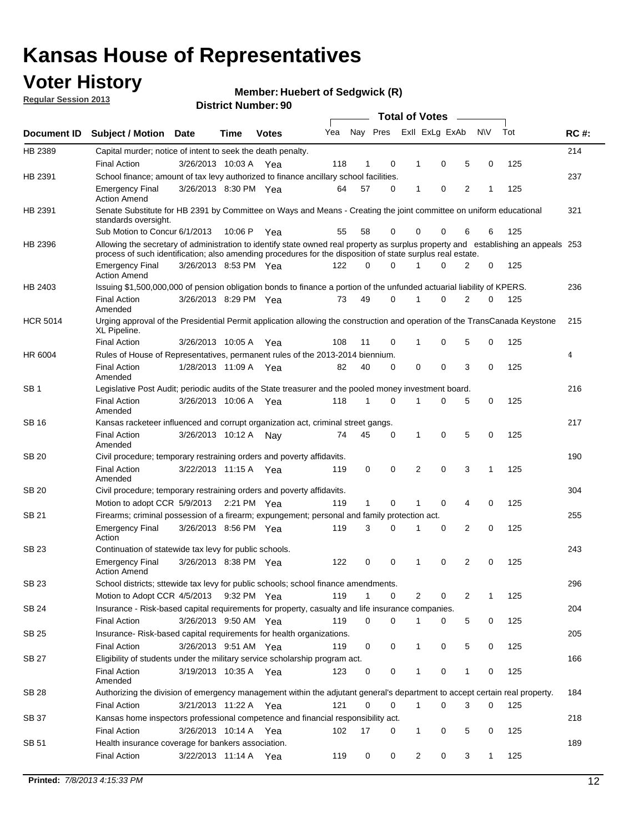### **Voter History**

**Member: Huebert of Sedgwick (R)** 

**Regular Session 2013**

|                 |                                                                                                                                                                                                                                                  |                       |             |              |     |              |          | <b>Total of Votes</b> |   |   |              |     |             |
|-----------------|--------------------------------------------------------------------------------------------------------------------------------------------------------------------------------------------------------------------------------------------------|-----------------------|-------------|--------------|-----|--------------|----------|-----------------------|---|---|--------------|-----|-------------|
| Document ID     | Subject / Motion Date                                                                                                                                                                                                                            |                       | Time        | <b>Votes</b> | Yea | Nay Pres     |          | Exll ExLg ExAb        |   |   | <b>NV</b>    | Tot | <b>RC#:</b> |
| HB 2389         | Capital murder; notice of intent to seek the death penalty.                                                                                                                                                                                      |                       |             |              |     |              |          |                       |   |   |              |     | 214         |
|                 | <b>Final Action</b>                                                                                                                                                                                                                              | 3/26/2013 10:03 A     |             | Yea          | 118 | 1            | 0        | 1                     | 0 | 5 | 0            | 125 |             |
| HB 2391         | School finance; amount of tax levy authorized to finance ancillary school facilities.                                                                                                                                                            |                       |             |              |     |              |          |                       |   |   |              |     | 237         |
|                 | <b>Emergency Final</b><br><b>Action Amend</b>                                                                                                                                                                                                    | 3/26/2013 8:30 PM Yea |             |              | 64  | 57           | 0        | 1                     | 0 | 2 | 1            | 125 |             |
| HB 2391         | Senate Substitute for HB 2391 by Committee on Ways and Means - Creating the joint committee on uniform educational<br>standards oversight.                                                                                                       |                       |             |              |     |              |          |                       |   |   |              |     | 321         |
|                 | Sub Motion to Concur 6/1/2013                                                                                                                                                                                                                    |                       | 10:06 P     | Yea          | 55  | 58           | 0        | 0                     | 0 | 6 | 6            | 125 |             |
| HB 2396         | Allowing the secretary of administration to identify state owned real property as surplus property and establishing an appeals 253<br>process of such identification; also amending procedures for the disposition of state surplus real estate. |                       |             |              |     |              |          |                       |   |   |              |     |             |
|                 | <b>Emergency Final</b><br>Action Amend                                                                                                                                                                                                           | 3/26/2013 8:53 PM Yea |             |              | 122 | 0            | 0        |                       | 0 | 2 | 0            | 125 |             |
| HB 2403         | Issuing \$1,500,000,000 of pension obligation bonds to finance a portion of the unfunded actuarial liability of KPERS.                                                                                                                           |                       |             |              |     |              |          |                       |   |   |              |     | 236         |
|                 | <b>Final Action</b><br>Amended                                                                                                                                                                                                                   | 3/26/2013 8:29 PM Yea |             |              | 73  | 49           | 0        | 1                     | 0 | 2 | 0            | 125 |             |
| <b>HCR 5014</b> | Urging approval of the Presidential Permit application allowing the construction and operation of the TransCanada Keystone<br>XL Pipeline.                                                                                                       |                       |             |              |     |              |          |                       |   |   |              |     | 215         |
|                 | <b>Final Action</b>                                                                                                                                                                                                                              | 3/26/2013 10:05 A     |             | Yea          | 108 | 11           | 0        |                       | 0 | 5 | 0            | 125 |             |
| HR 6004         | Rules of House of Representatives, permanent rules of the 2013-2014 biennium.                                                                                                                                                                    |                       |             |              |     |              |          |                       |   |   |              |     | 4           |
|                 | <b>Final Action</b><br>Amended                                                                                                                                                                                                                   | 1/28/2013 11:09 A     |             | Yea          | 82  | 40           | 0        | 0                     | 0 | 3 | 0            | 125 |             |
| SB 1            | Legislative Post Audit; periodic audits of the State treasurer and the pooled money investment board.                                                                                                                                            |                       |             |              |     |              |          |                       |   |   |              |     | 216         |
|                 | <b>Final Action</b><br>Amended                                                                                                                                                                                                                   | 3/26/2013 10:06 A     |             | Yea          | 118 | 1            | 0        | 1                     | 0 | 5 | 0            | 125 |             |
| SB 16           | Kansas racketeer influenced and corrupt organization act, criminal street gangs.                                                                                                                                                                 |                       |             |              |     |              |          |                       |   |   |              |     | 217         |
|                 | <b>Final Action</b><br>Amended                                                                                                                                                                                                                   | 3/26/2013 10:12 A Nay |             |              | 74  | 45           | 0        | 1                     | 0 | 5 | 0            | 125 |             |
| SB 20           | Civil procedure; temporary restraining orders and poverty affidavits.                                                                                                                                                                            |                       |             |              |     |              |          |                       |   |   |              |     | 190         |
|                 | <b>Final Action</b><br>Amended                                                                                                                                                                                                                   | 3/22/2013 11:15 A     |             | Yea          | 119 | 0            | 0        | 2                     | 0 | 3 | 1            | 125 |             |
| SB 20           | Civil procedure; temporary restraining orders and poverty affidavits.                                                                                                                                                                            |                       |             |              |     |              |          |                       |   |   |              |     | 304         |
|                 | Motion to adopt CCR 5/9/2013                                                                                                                                                                                                                     |                       | 2:21 PM Yea |              | 119 | $\mathbf{1}$ | 0        | 1                     | 0 | 4 | 0            | 125 |             |
| SB 21           | Firearms; criminal possession of a firearm; expungement; personal and family protection act.                                                                                                                                                     |                       |             |              |     |              |          |                       |   |   |              |     | 255         |
|                 | <b>Emergency Final</b><br>Action                                                                                                                                                                                                                 | 3/26/2013 8:56 PM Yea |             |              | 119 | 3            | 0        |                       | 0 | 2 | 0            | 125 |             |
| SB 23           | Continuation of statewide tax levy for public schools.                                                                                                                                                                                           |                       |             |              |     |              |          |                       |   |   |              |     | 243         |
|                 | <b>Emergency Final</b><br><b>Action Amend</b>                                                                                                                                                                                                    | 3/26/2013 8:38 PM Yea |             |              | 122 | 0            | 0        | 1                     | 0 | 2 | 0            | 125 |             |
| <b>SB 23</b>    | School districts; sttewide tax levy for public schools; school finance amendments.                                                                                                                                                               |                       |             |              |     |              |          |                       |   |   |              |     | 296         |
|                 | Motion to Adopt CCR 4/5/2013 9:32 PM Yea                                                                                                                                                                                                         |                       |             |              | 119 | 1            | 0        | 2                     | 0 | 2 | 1            | 125 |             |
| <b>SB 24</b>    | Insurance - Risk-based capital requirements for property, casualty and life insurance companies.                                                                                                                                                 |                       |             |              |     |              |          |                       |   |   |              |     | 204         |
|                 | <b>Final Action</b>                                                                                                                                                                                                                              | 3/26/2013 9:50 AM Yea |             |              | 119 | 0            | 0        |                       | 0 | 5 | 0            | 125 |             |
| SB 25           | Insurance-Risk-based capital requirements for health organizations.                                                                                                                                                                              |                       |             |              |     |              |          |                       |   |   |              |     | 205         |
|                 | <b>Final Action</b>                                                                                                                                                                                                                              | 3/26/2013 9:51 AM Yea |             |              | 119 | 0            | 0        | 1                     | 0 | 5 | 0            | 125 |             |
| SB 27           | Eligibility of students under the military service scholarship program act.                                                                                                                                                                      |                       |             |              |     |              |          |                       |   |   |              |     | 166         |
|                 | <b>Final Action</b><br>Amended                                                                                                                                                                                                                   | 3/19/2013 10:35 A Yea |             |              | 123 | 0            | 0        |                       | 0 | 1 | 0            | 125 |             |
| SB 28           | Authorizing the division of emergency management within the adjutant general's department to accept certain real property.                                                                                                                       |                       |             |              |     |              |          |                       |   |   |              |     | 184         |
|                 | <b>Final Action</b>                                                                                                                                                                                                                              | 3/21/2013 11:22 A Yea |             |              | 121 | 0            | $\Omega$ | 1                     | 0 | 3 | $\Omega$     | 125 |             |
| SB 37           | Kansas home inspectors professional competence and financial responsibility act.                                                                                                                                                                 |                       |             |              |     |              |          |                       |   |   |              |     | 218         |
|                 | <b>Final Action</b>                                                                                                                                                                                                                              | 3/26/2013 10:14 A Yea |             |              | 102 | 17           | 0        | 1                     | 0 | 5 | 0            | 125 |             |
| SB 51           | Health insurance coverage for bankers association.                                                                                                                                                                                               |                       |             |              |     |              |          |                       |   |   |              |     | 189         |
|                 | <b>Final Action</b>                                                                                                                                                                                                                              | 3/22/2013 11:14 A Yea |             |              | 119 | 0            | 0        | $\overline{c}$        | 0 | 3 | $\mathbf{1}$ | 125 |             |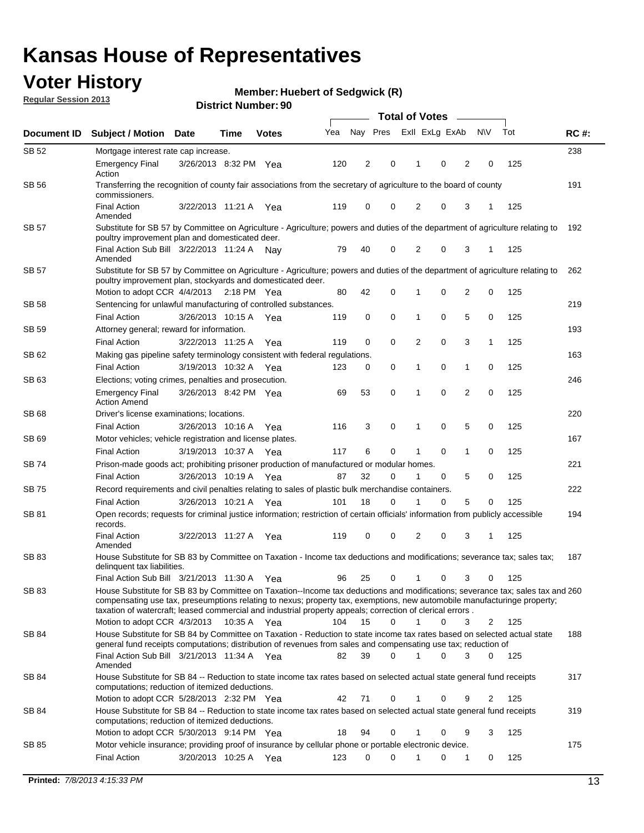### **Voter History**

**Member: Huebert of Sedgwick (R)** 

**Regular Session 2013**

| Document ID  |                                                                                                                                                                                                                                            |                       |             |              |     | <b>Total of Votes</b> |             |                |   |                |              |     |             |  |
|--------------|--------------------------------------------------------------------------------------------------------------------------------------------------------------------------------------------------------------------------------------------|-----------------------|-------------|--------------|-----|-----------------------|-------------|----------------|---|----------------|--------------|-----|-------------|--|
|              | <b>Subject / Motion Date</b>                                                                                                                                                                                                               |                       | Time        | <b>Votes</b> | Yea | Nay Pres              |             | Exll ExLg ExAb |   |                | <b>NV</b>    | Tot | <b>RC#:</b> |  |
| SB 52        | Mortgage interest rate cap increase.                                                                                                                                                                                                       |                       |             |              |     |                       |             |                |   |                |              |     | 238         |  |
|              | <b>Emergency Final</b><br>Action                                                                                                                                                                                                           | 3/26/2013 8:32 PM Yea |             |              | 120 | 2                     | 0           | 1              | 0 | 2              | 0            | 125 |             |  |
| SB 56        | Transferring the recognition of county fair associations from the secretary of agriculture to the board of county<br>commissioners.                                                                                                        |                       |             |              |     |                       |             |                |   |                |              |     | 191         |  |
|              | <b>Final Action</b><br>Amended                                                                                                                                                                                                             | 3/22/2013 11:21 A     |             | Yea          | 119 | 0                     | 0           | 2              | 0 | 3              |              | 125 |             |  |
| <b>SB 57</b> | Substitute for SB 57 by Committee on Agriculture - Agriculture; powers and duties of the department of agriculture relating to                                                                                                             |                       |             |              |     |                       |             |                |   |                |              |     | 192         |  |
|              | poultry improvement plan and domesticated deer.<br>Final Action Sub Bill 3/22/2013 11:24 A<br>Amended                                                                                                                                      |                       |             | Nav          | 79  | 40                    | 0           | 2              | 0 | 3              | -1           | 125 |             |  |
| <b>SB 57</b> | Substitute for SB 57 by Committee on Agriculture - Agriculture; powers and duties of the department of agriculture relating to<br>262<br>poultry improvement plan, stockyards and domesticated deer.                                       |                       |             |              |     |                       |             |                |   |                |              |     |             |  |
|              | Motion to adopt CCR 4/4/2013                                                                                                                                                                                                               |                       | 2:18 PM Yea |              | 80  | 42                    | 0           | 1              | 0 | 2              | 0            | 125 |             |  |
| SB 58        | Sentencing for unlawful manufacturing of controlled substances.                                                                                                                                                                            |                       |             |              |     |                       |             |                |   |                |              |     | 219         |  |
|              | <b>Final Action</b>                                                                                                                                                                                                                        | 3/26/2013 10:15 A     |             | Yea          | 119 | 0                     | $\mathbf 0$ | 1              | 0 | 5              | 0            | 125 |             |  |
| SB 59        | Attorney general; reward for information.                                                                                                                                                                                                  |                       |             |              |     |                       |             |                |   |                |              |     | 193         |  |
|              | <b>Final Action</b>                                                                                                                                                                                                                        | 3/22/2013 11:25 A     |             | Yea          | 119 | 0                     | $\mathbf 0$ | $\overline{2}$ | 0 | 3              | $\mathbf{1}$ | 125 |             |  |
| SB 62        | Making gas pipeline safety terminology consistent with federal regulations.                                                                                                                                                                |                       |             |              |     |                       |             |                |   |                |              |     | 163         |  |
|              | <b>Final Action</b>                                                                                                                                                                                                                        | 3/19/2013 10:32 A     |             | Yea          | 123 | 0                     | 0           | 1              | 0 | 1              | 0            | 125 |             |  |
| SB 63        | Elections; voting crimes, penalties and prosecution.                                                                                                                                                                                       |                       |             |              |     |                       |             |                |   |                |              |     | 246         |  |
|              | <b>Emergency Final</b><br><b>Action Amend</b>                                                                                                                                                                                              | 3/26/2013 8:42 PM Yea |             |              | 69  | 53                    | $\mathbf 0$ | 1              | 0 | $\overline{2}$ | 0            | 125 |             |  |
| SB 68        | Driver's license examinations; locations.                                                                                                                                                                                                  |                       |             |              |     |                       |             |                |   |                |              |     | 220         |  |
|              | <b>Final Action</b>                                                                                                                                                                                                                        | 3/26/2013 10:16 A     |             | Yea          | 116 | 3                     | 0           | 1              | 0 | 5              | 0            | 125 |             |  |
| SB 69        | Motor vehicles; vehicle registration and license plates.                                                                                                                                                                                   |                       |             |              |     |                       |             |                |   |                |              |     | 167         |  |
|              | <b>Final Action</b>                                                                                                                                                                                                                        | 3/19/2013 10:37 A     |             | Yea          | 117 | 6                     | 0           | 1              | 0 | 1              | 0            | 125 |             |  |
| SB 74        | Prison-made goods act; prohibiting prisoner production of manufactured or modular homes.                                                                                                                                                   |                       |             |              |     |                       |             |                |   |                |              |     | 221         |  |
|              | <b>Final Action</b>                                                                                                                                                                                                                        | 3/26/2013 10:19 A     |             | Yea          | 87  | 32                    | 0           | 1              | 0 | 5              | 0            | 125 |             |  |
| SB 75        | Record requirements and civil penalties relating to sales of plastic bulk merchandise containers.                                                                                                                                          |                       |             |              |     |                       |             |                |   |                |              |     | 222         |  |
|              | <b>Final Action</b>                                                                                                                                                                                                                        | 3/26/2013 10:21 A     |             | Yea          | 101 | 18                    | 0           | 1              | 0 | 5              | 0            | 125 |             |  |
| SB 81        | Open records; requests for criminal justice information; restriction of certain officials' information from publicly accessible<br>records.                                                                                                |                       |             |              |     |                       |             |                |   |                |              |     | 194         |  |
|              | <b>Final Action</b><br>Amended                                                                                                                                                                                                             | 3/22/2013 11:27 A     |             | Yea          | 119 | 0                     | 0           | 2              | 0 | 3              | 1            | 125 |             |  |
| SB 83        | House Substitute for SB 83 by Committee on Taxation - Income tax deductions and modifications; severance tax; sales tax;<br>delinquent tax liabilities.<br>Final Action Sub Bill 3/21/2013 11:30 A Yea                                     |                       |             |              | 96  | 25                    | 0           | 1              | 0 | 3              | 0            | 125 | 187         |  |
| SB 83        | House Substitute for SB 83 by Committee on Taxation--Income tax deductions and modifications; severance tax; sales tax and 260                                                                                                             |                       |             |              |     |                       |             |                |   |                |              |     |             |  |
|              | compensating use tax, preseumptions relating to nexus; property tax, exemptions, new automobile manufacturinge property;<br>taxation of watercraft; leased commercial and industrial property appeals; correction of clerical errors.      |                       |             |              |     |                       |             |                |   |                |              |     |             |  |
|              | Motion to adopt CCR 4/3/2013                                                                                                                                                                                                               |                       | 10:35 A Yea |              | 104 | 15                    | $\Omega$    | $\mathbf{1}$   | 0 | 3              | 2            | 125 |             |  |
| SB 84        | House Substitute for SB 84 by Committee on Taxation - Reduction to state income tax rates based on selected actual state<br>general fund receipts computations; distribution of revenues from sales and compensating use tax; reduction of |                       |             |              |     |                       |             |                |   |                |              |     | 188         |  |
| SB 84        | Final Action Sub Bill 3/21/2013 11:34 A Yea<br>Amended                                                                                                                                                                                     |                       |             |              | 82  | 39                    | $\Omega$    |                | 0 | 3              | $\Omega$     | 125 |             |  |
|              | House Substitute for SB 84 -- Reduction to state income tax rates based on selected actual state general fund receipts<br>computations; reduction of itemized deductions.<br>Motion to adopt CCR 5/28/2013 2:32 PM Yea                     |                       |             |              | 42  | 71                    | 0           |                | 0 | 9              | 2            | 125 | 317         |  |
| SB 84        | House Substitute for SB 84 -- Reduction to state income tax rates based on selected actual state general fund receipts                                                                                                                     |                       |             |              |     |                       |             |                |   |                |              |     | 319         |  |
|              | computations; reduction of itemized deductions.<br>Motion to adopt CCR 5/30/2013 9:14 PM Yea                                                                                                                                               |                       |             |              | 18  | 94                    | 0           | 1              | 0 | 9              | 3            | 125 |             |  |
| SB 85        | Motor vehicle insurance; providing proof of insurance by cellular phone or portable electronic device.                                                                                                                                     |                       |             |              |     |                       |             |                |   |                |              |     | 175         |  |
|              | <b>Final Action</b>                                                                                                                                                                                                                        | 3/20/2013 10:25 A Yea |             |              | 123 | 0                     | 0           |                | 0 | 1              | 0            | 125 |             |  |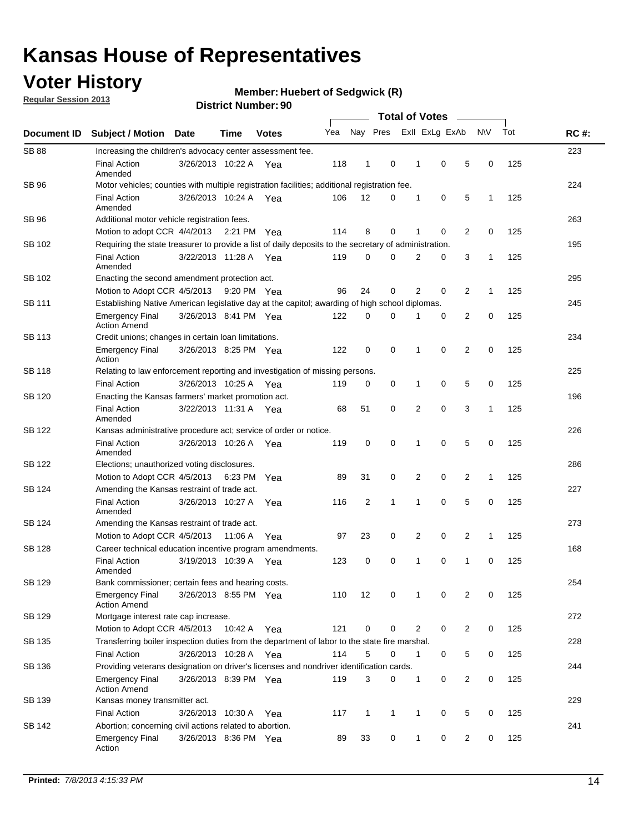### **Voter History**

**Regular Session 2013**

#### **Member: Huebert of Sedgwick (R)**

| Document ID   |                                                                                                       |                       |         |              |     |                |   |                |   |                |              |     |             |  |  |  |  |  |  |  |
|---------------|-------------------------------------------------------------------------------------------------------|-----------------------|---------|--------------|-----|----------------|---|----------------|---|----------------|--------------|-----|-------------|--|--|--|--|--|--|--|
|               | <b>Subject / Motion Date</b>                                                                          |                       | Time    | <b>Votes</b> | Yea | Nay Pres       |   | Exll ExLg ExAb |   |                | <b>NV</b>    | Tot | <b>RC#:</b> |  |  |  |  |  |  |  |
| <b>SB 88</b>  | Increasing the children's advocacy center assessment fee.                                             |                       |         |              |     |                |   |                |   |                |              |     | 223         |  |  |  |  |  |  |  |
|               | <b>Final Action</b><br>Amended                                                                        | 3/26/2013 10:22 A     |         | Yea          | 118 | 1              | 0 | 1              | 0 | 5              | 0            | 125 |             |  |  |  |  |  |  |  |
| SB 96         | Motor vehicles; counties with multiple registration facilities; additional registration fee.          |                       |         |              |     |                |   |                |   |                |              |     | 224         |  |  |  |  |  |  |  |
|               | <b>Final Action</b><br>Amended                                                                        | 3/26/2013 10:24 A Yea |         |              | 106 | 12             | 0 | 1              | 0 | 5              | 1            | 125 |             |  |  |  |  |  |  |  |
| SB 96         | Additional motor vehicle registration fees.                                                           |                       |         |              |     |                |   |                |   |                |              |     | 263         |  |  |  |  |  |  |  |
|               | Motion to adopt CCR 4/4/2013 2:21 PM                                                                  |                       |         | Yea          | 114 | 8              | 0 | 1              | 0 | 2              | 0            | 125 |             |  |  |  |  |  |  |  |
| SB 102        | Requiring the state treasurer to provide a list of daily deposits to the secretary of administration. |                       |         |              |     |                |   |                |   |                |              |     | 195         |  |  |  |  |  |  |  |
|               | <b>Final Action</b><br>Amended                                                                        | 3/22/2013 11:28 A Yea |         |              | 119 | 0              | 0 | 2              | 0 | 3              | $\mathbf{1}$ | 125 |             |  |  |  |  |  |  |  |
| SB 102        | Enacting the second amendment protection act.                                                         |                       |         |              |     |                |   |                |   |                |              |     | 295         |  |  |  |  |  |  |  |
|               | Motion to Adopt CCR 4/5/2013                                                                          |                       |         | 9:20 PM Yea  | 96  | 24             | 0 | 2              | 0 | 2              | $\mathbf{1}$ | 125 |             |  |  |  |  |  |  |  |
| SB 111        | Establishing Native American legislative day at the capitol; awarding of high school diplomas.        |                       |         |              |     |                |   |                |   |                |              |     |             |  |  |  |  |  |  |  |
|               | Emergency Final<br><b>Action Amend</b>                                                                | 3/26/2013 8:41 PM Yea |         |              | 122 | 0              | 0 |                | 0 | 2              | 0            | 125 |             |  |  |  |  |  |  |  |
| <b>SB 113</b> | Credit unions; changes in certain loan limitations.                                                   |                       |         |              |     |                |   |                |   |                |              |     | 234         |  |  |  |  |  |  |  |
|               | <b>Emergency Final</b><br>Action                                                                      | 3/26/2013 8:25 PM Yea |         |              | 122 | 0              | 0 | 1              | 0 | $\overline{2}$ | 0            | 125 |             |  |  |  |  |  |  |  |
| <b>SB 118</b> | Relating to law enforcement reporting and investigation of missing persons.                           |                       |         |              |     |                |   |                |   |                |              |     | 225         |  |  |  |  |  |  |  |
|               | <b>Final Action</b>                                                                                   | 3/26/2013 10:25 A Yea |         |              | 119 | 0              | 0 | 1              | 0 | 5              | 0            | 125 |             |  |  |  |  |  |  |  |
| SB 120        | Enacting the Kansas farmers' market promotion act.                                                    |                       |         |              |     |                |   |                |   |                |              |     | 196         |  |  |  |  |  |  |  |
|               | <b>Final Action</b><br>Amended                                                                        | 3/22/2013 11:31 A Yea |         |              | 68  | 51             | 0 | 2              | 0 | 3              | 1            | 125 |             |  |  |  |  |  |  |  |
| SB 122        | Kansas administrative procedure act; service of order or notice.                                      |                       |         |              |     |                |   |                |   |                |              |     | 226         |  |  |  |  |  |  |  |
|               | <b>Final Action</b><br>Amended                                                                        | 3/26/2013 10:26 A     |         | Yea          | 119 | 0              | 0 | 1              | 0 | 5              | 0            | 125 |             |  |  |  |  |  |  |  |
| SB 122        | Elections; unauthorized voting disclosures.                                                           |                       |         |              |     |                |   |                |   |                |              |     |             |  |  |  |  |  |  |  |
|               | 0<br>2<br>0<br>2<br>125<br>Motion to Adopt CCR 4/5/2013 6:23 PM<br>89<br>31<br>1<br>Yea               |                       |         |              |     |                |   |                |   |                |              |     |             |  |  |  |  |  |  |  |
| SB 124        | Amending the Kansas restraint of trade act.                                                           |                       |         |              |     |                |   |                |   |                |              |     | 227         |  |  |  |  |  |  |  |
|               | <b>Final Action</b><br>Amended                                                                        | 3/26/2013 10:27 A     |         | Yea          | 116 | $\overline{c}$ | 1 | 1              | 0 | 5              | 0            | 125 |             |  |  |  |  |  |  |  |
| SB 124        | Amending the Kansas restraint of trade act.                                                           |                       |         |              |     |                |   |                |   |                |              | 273 |             |  |  |  |  |  |  |  |
|               | Motion to Adopt CCR 4/5/2013                                                                          |                       | 11:06 A | Yea          | 97  | 23             | 0 | 2              | 0 | 2              | 1            | 125 |             |  |  |  |  |  |  |  |
| <b>SB 128</b> | Career technical education incentive program amendments.                                              |                       |         |              |     |                |   |                |   |                |              |     | 168         |  |  |  |  |  |  |  |
|               | <b>Final Action</b><br>Amended                                                                        | 3/19/2013 10:39 A     |         | Yea          | 123 | 0              | 0 | 1              | 0 | 1              | 0            | 125 |             |  |  |  |  |  |  |  |
| <b>SB 129</b> | Bank commissioner: certain fees and hearing costs.                                                    |                       |         |              |     |                |   |                |   |                |              |     | 254         |  |  |  |  |  |  |  |
|               | <b>Emergency Final</b><br><b>Action Amend</b>                                                         | 3/26/2013 8:55 PM Yea |         |              | 110 | 12             | 0 | 1              | 0 | 2              | 0            | 125 |             |  |  |  |  |  |  |  |
| SB 129        | Mortgage interest rate cap increase.                                                                  |                       |         |              |     |                |   |                |   |                |              |     | 272         |  |  |  |  |  |  |  |
|               | Motion to Adopt CCR 4/5/2013                                                                          |                       | 10:42 A | Yea          | 121 | 0              | 0 | 2              | 0 | 2              | 0            | 125 |             |  |  |  |  |  |  |  |
| SB 135        | Transferring boiler inspection duties from the department of labor to the state fire marshal.         |                       |         |              |     |                |   |                |   |                |              |     | 228         |  |  |  |  |  |  |  |
|               | <b>Final Action</b>                                                                                   | 3/26/2013 10:28 A Yea |         |              | 114 | 5              | 0 | 1              | 0 | 5              | 0            | 125 |             |  |  |  |  |  |  |  |
| SB 136        | Providing veterans designation on driver's licenses and nondriver identification cards.               |                       |         |              |     |                |   |                |   |                |              |     | 244         |  |  |  |  |  |  |  |
|               | <b>Emergency Final</b><br><b>Action Amend</b>                                                         | 3/26/2013 8:39 PM Yea |         |              | 119 | 3              | 0 | 1              | 0 | $\overline{2}$ | 0            | 125 |             |  |  |  |  |  |  |  |
| SB 139        | Kansas money transmitter act.                                                                         |                       |         |              |     |                |   |                |   |                |              |     | 229         |  |  |  |  |  |  |  |
|               | <b>Final Action</b>                                                                                   | 3/26/2013 10:30 A     |         | Yea          | 117 | $\mathbf{1}$   | 1 | $\mathbf{1}$   | 0 | 5              | 0            | 125 |             |  |  |  |  |  |  |  |
| SB 142        | Abortion; concerning civil actions related to abortion.                                               |                       |         |              |     |                |   |                |   |                |              |     | 241         |  |  |  |  |  |  |  |
|               | <b>Emergency Final</b><br>Action                                                                      | 3/26/2013 8:36 PM Yea |         |              | 89  | 33             | 0 | 1              | 0 | 2              | 0            | 125 |             |  |  |  |  |  |  |  |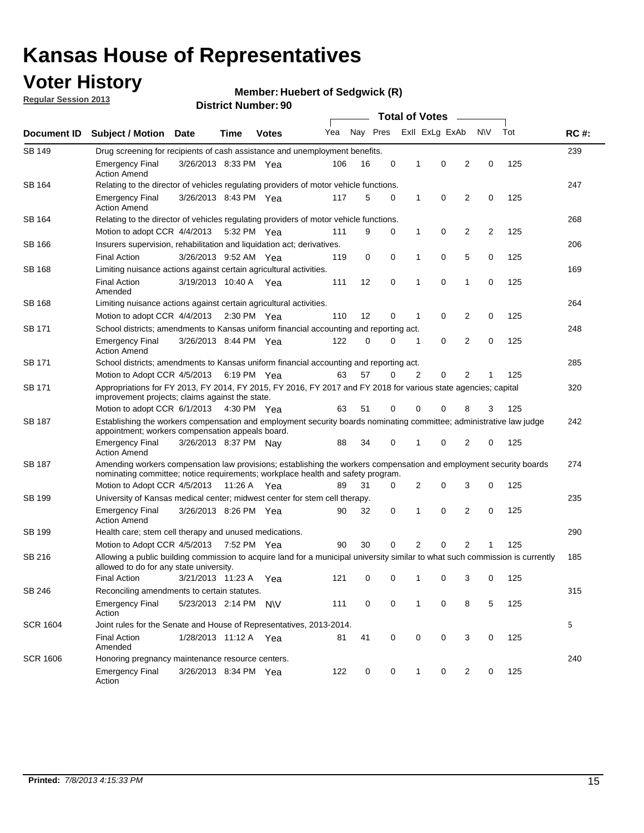### **Voter History**

**Member: Huebert of Sedgwick (R)** 

**Regular Session 2013**

| Document ID     |                                                                                                                                                                                                       |                                                                                                                                                                         |             |                       | <b>Total of Votes</b><br>$\overline{\phantom{a}}$ |          |   |              |                |                |           |     |             |
|-----------------|-------------------------------------------------------------------------------------------------------------------------------------------------------------------------------------------------------|-------------------------------------------------------------------------------------------------------------------------------------------------------------------------|-------------|-----------------------|---------------------------------------------------|----------|---|--------------|----------------|----------------|-----------|-----|-------------|
|                 | <b>Subject / Motion Date</b>                                                                                                                                                                          |                                                                                                                                                                         | Time        | <b>Votes</b>          | Yea                                               | Nay Pres |   |              | Exll ExLg ExAb |                | <b>NV</b> | Tot | <b>RC#:</b> |
| SB 149          | 239<br>Drug screening for recipients of cash assistance and unemployment benefits.                                                                                                                    |                                                                                                                                                                         |             |                       |                                                   |          |   |              |                |                |           |     |             |
|                 | <b>Emergency Final</b><br><b>Action Amend</b>                                                                                                                                                         | 3/26/2013 8:33 PM Yea                                                                                                                                                   |             |                       | 106                                               | 16       | 0 | 1            | 0              | 2              | 0         | 125 |             |
| SB 164          | Relating to the director of vehicles regulating providers of motor vehicle functions.                                                                                                                 |                                                                                                                                                                         |             |                       |                                                   |          |   |              |                |                |           |     | 247         |
|                 | <b>Emergency Final</b><br><b>Action Amend</b>                                                                                                                                                         | 3/26/2013 8:43 PM Yea                                                                                                                                                   |             |                       | 117                                               | 5        | 0 | $\mathbf{1}$ | 0              | 2              | 0         | 125 |             |
| SB 164          | Relating to the director of vehicles regulating providers of motor vehicle functions.                                                                                                                 |                                                                                                                                                                         |             |                       |                                                   |          |   |              |                |                |           |     | 268         |
|                 | Motion to adopt CCR 4/4/2013 5:32 PM Yea                                                                                                                                                              |                                                                                                                                                                         |             |                       | 111                                               | 9        | 0 | $\mathbf{1}$ | 0              | 2              | 2         | 125 |             |
| SB 166          | Insurers supervision, rehabilitation and liquidation act; derivatives.                                                                                                                                |                                                                                                                                                                         |             |                       |                                                   |          |   |              |                |                |           |     | 206         |
|                 | <b>Final Action</b>                                                                                                                                                                                   | 3/26/2013 9:52 AM Yea                                                                                                                                                   |             |                       | 119                                               | 0        | 0 | 1            | 0              | 5              | 0         | 125 |             |
| SB 168          | Limiting nuisance actions against certain agricultural activities.                                                                                                                                    |                                                                                                                                                                         |             |                       |                                                   |          |   |              |                |                |           |     | 169         |
|                 | <b>Final Action</b><br>Amended                                                                                                                                                                        | 3/19/2013 10:40 A Yea                                                                                                                                                   |             |                       | 111                                               | 12       | 0 | 1            | 0              | 1              | 0         | 125 |             |
| SB 168          | Limiting nuisance actions against certain agricultural activities.                                                                                                                                    |                                                                                                                                                                         |             |                       |                                                   |          |   |              |                |                |           |     | 264         |
|                 | Motion to adopt CCR 4/4/2013                                                                                                                                                                          |                                                                                                                                                                         |             | $2:30 \text{ PM}$ Yea | 110                                               | 12       | 0 | 1            | 0              | 2              | 0         | 125 |             |
| <b>SB 171</b>   | School districts; amendments to Kansas uniform financial accounting and reporting act.                                                                                                                |                                                                                                                                                                         |             |                       |                                                   |          |   |              |                |                |           |     | 248         |
|                 | <b>Emergency Final</b><br><b>Action Amend</b>                                                                                                                                                         | 3/26/2013 8:44 PM Yea                                                                                                                                                   |             |                       | 122                                               | 0        | 0 | 1            | 0              | 2              | 0         | 125 |             |
| SB 171          | School districts; amendments to Kansas uniform financial accounting and reporting act.                                                                                                                |                                                                                                                                                                         |             |                       |                                                   |          |   |              |                |                |           |     | 285         |
|                 |                                                                                                                                                                                                       | 0<br>57<br>2<br>2<br>Motion to Adopt CCR 4/5/2013 6:19 PM Yea<br>63<br>0<br>125<br>1                                                                                    |             |                       |                                                   |          |   |              |                |                |           |     |             |
| SB 171          | Appropriations for FY 2013, FY 2014, FY 2015, FY 2016, FY 2017 and FY 2018 for various state agencies; capital<br>improvement projects; claims against the state.                                     |                                                                                                                                                                         |             |                       |                                                   |          |   |              |                |                |           | 320 |             |
|                 | Motion to adopt CCR 6/1/2013 4:30 PM Yea                                                                                                                                                              |                                                                                                                                                                         |             |                       | 63                                                | 51       | 0 | 0            | 0              | 8              | 3         | 125 |             |
| SB 187          |                                                                                                                                                                                                       | Establishing the workers compensation and employment security boards nominating committee; administrative law judge<br>appointment; workers compensation appeals board. |             |                       |                                                   |          |   |              |                |                |           |     |             |
|                 | <b>Emergency Final</b><br><b>Action Amend</b>                                                                                                                                                         | 3/26/2013 8:37 PM Nay                                                                                                                                                   |             |                       | 88                                                | 34       | 0 | 1            | 0              | 2              | 0         | 125 |             |
| SB 187          | Amending workers compensation law provisions; establishing the workers compensation and employment security boards<br>nominating committee; notice requirements; workplace health and safety program. |                                                                                                                                                                         |             |                       |                                                   |          |   |              |                |                |           |     | 274         |
|                 | Motion to Adopt CCR 4/5/2013 11:26 A Yea                                                                                                                                                              |                                                                                                                                                                         |             |                       | 89                                                | 31       | 0 | 2            | 0              | 3              | 0         | 125 |             |
| SB 199          | University of Kansas medical center; midwest center for stem cell therapy.                                                                                                                            |                                                                                                                                                                         |             |                       |                                                   |          |   |              |                |                |           |     | 235         |
|                 | <b>Emergency Final</b><br><b>Action Amend</b>                                                                                                                                                         | 3/26/2013 8:26 PM Yea                                                                                                                                                   |             |                       | 90                                                | 32       | 0 | 1            | 0              | 2              | 0         | 125 |             |
| SB 199          | Health care; stem cell therapy and unused medications.                                                                                                                                                |                                                                                                                                                                         |             |                       |                                                   |          |   |              |                |                |           |     | 290         |
|                 | Motion to Adopt CCR 4/5/2013                                                                                                                                                                          |                                                                                                                                                                         | 7:52 PM Yea |                       | 90                                                | 30       | 0 | 2            | 0              | $\overline{2}$ | 1         | 125 |             |
| SB 216          | Allowing a public building commission to acquire land for a municipal university similar to what such commission is currently<br>allowed to do for any state university.                              |                                                                                                                                                                         |             |                       |                                                   |          |   |              |                |                |           |     | 185         |
|                 | <b>Final Action</b>                                                                                                                                                                                   | 3/21/2013 11:23 A                                                                                                                                                       |             | Yea                   | 121                                               | 0        | 0 | 1            | 0              | 3              | 0         | 125 |             |
| SB 246          | Reconciling amendments to certain statutes.                                                                                                                                                           |                                                                                                                                                                         |             |                       |                                                   |          |   |              |                |                |           |     | 315         |
|                 | <b>Emergency Final</b><br>Action                                                                                                                                                                      | 5/23/2013 2:14 PM N\V                                                                                                                                                   |             |                       | 111                                               | 0        | 0 | $\mathbf 1$  | 0              | 8              | 5         | 125 |             |
| <b>SCR 1604</b> | Joint rules for the Senate and House of Representatives, 2013-2014.                                                                                                                                   |                                                                                                                                                                         |             |                       |                                                   |          |   |              |                |                |           |     | 5           |
|                 | <b>Final Action</b><br>Amended                                                                                                                                                                        | 1/28/2013 11:12 A Yea                                                                                                                                                   |             |                       | 81                                                | 41       | 0 | 0            | 0              | 3              | 0         | 125 |             |
| <b>SCR 1606</b> | Honoring pregnancy maintenance resource centers.                                                                                                                                                      |                                                                                                                                                                         |             |                       |                                                   |          |   |              |                |                |           |     | 240         |
|                 | Emergency Final<br>Action                                                                                                                                                                             | 3/26/2013 8:34 PM Yea                                                                                                                                                   |             |                       | 122                                               | 0        | 0 | 1            | 0              | $\overline{2}$ | 0         | 125 |             |